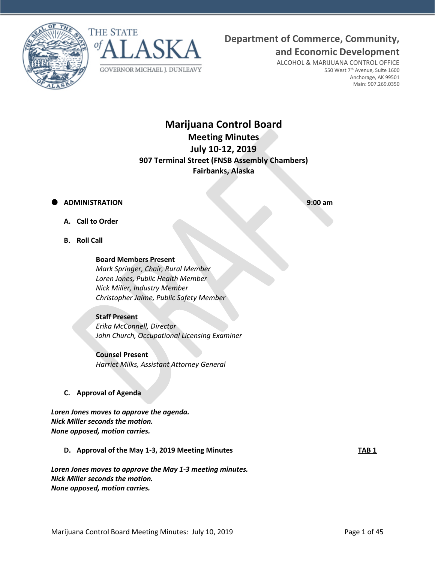



**Department of Commerce, Community,**

**and Economic Development**

ALCOHOL & MARIJUANA CONTROL OFFICE 550 West 7<sup>th</sup> Avenue, Suite 1600 Anchorage, AK 99501 Main: 907.269.0350

# **Marijuana Control Board Meeting Minutes July 10-12, 2019 907 Terminal Street (FNSB Assembly Chambers) Fairbanks, Alaska**

## **ADMINISTRATION 9:00 am**

**A. Call to Order**

**B. Roll Call**

**Board Members Present** *Mark Springer, Chair, Rural Member Loren Jones, Public Health Member Nick Miller, Industry Member Christopher Jaime, Public Safety Member*

## **Staff Present**

*Erika McConnell, Director John Church, Occupational Licensing Examiner*

**Counsel Present** *Harriet Milks, Assistant Attorney General*

## **C. Approval of Agenda**

*Loren Jones moves to approve the agenda. Nick Miller seconds the motion. None opposed, motion carries.*

**D.** Approval of the May 1-3, 2019 Meeting Minutes **TAB 1** 

*Loren Jones moves to approve the May 1-3 meeting minutes. Nick Miller seconds the motion. None opposed, motion carries.*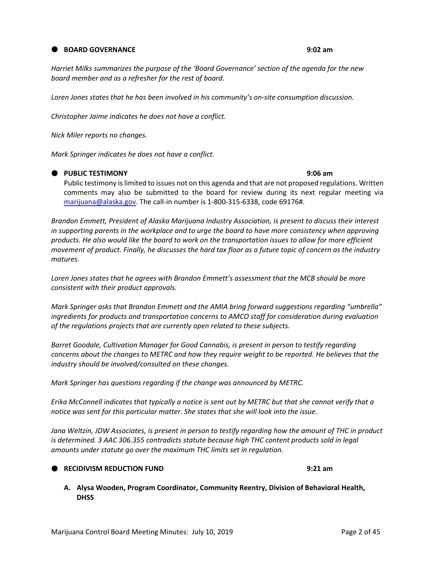## **BOARD GOVERNANCE 9:02 am**

*Harriet Milks summarizes the purpose of the 'Board Governance' section of the agenda for the new board member and as a refresher for the rest of board.*

*Loren Jones states that he has been involved in his community's on-site consumption discussion.*

*Christopher Jaime indicates he does not have a conflict.*

*Nick Miler reports no changes.*

*Mark Springer indicates he does not have a conflict.*

#### **PUBLIC TESTIMONY 9:06 am**

Public testimony is limited to issues not on this agenda and that are not proposed regulations. Written comments may also be submitted to the board for review during its next regular meeting via [marijuana@alaska.gov.](mailto:marijuana@alaska.gov) The call-in number is 1-800-315-6338, code 69176#.

*Brandon Emmett, President of Alaska Marijuana Industry Association, is present to discuss their interest in supporting parents in the workplace and to urge the board to have more consistency when approving products. He also would like the board to work on the transportation issues to allow for more efficient movement of product. Finally, he discusses the hard tax floor as a future topic of concern as the industry matures.*

*Loren Jones states that he agrees with Brandon Emmett's assessment that the MCB should be more consistent with their product approvals.* 

*Mark Springer asks that Brandon Emmett and the AMIA bring forward suggestions regarding "umbrella" ingredients for products and transportation concerns to AMCO staff for consideration during evaluation of the regulations projects that are currently open related to these subjects.*

*Barret Goodale, Cultivation Manager for Good Cannabis, is present in person to testify regarding concerns about the changes to METRC and how they require weight to be reported. He believes that the industry should be involved/consulted on these changes.*

*Mark Springer has questions regarding if the change was announced by METRC.*

*Erika McConnell indicates that typically a notice is sent out by METRC but that she cannot verify that a notice was sent for this particular matter. She states that she will look into the issue.*

*Jana Weltzin, JDW Associates, is present in person to testify regarding how the amount of THC in product is determined. 3 AAC 306.355 contradicts statute because high THC content products sold in legal amounts under statute go over the maximum THC limits set in regulation.*

**RECIDIVISM REDUCTION FUND 9:21 am**

**A. Alysa Wooden, Program Coordinator, Community Reentry, Division of Behavioral Health, DHSS**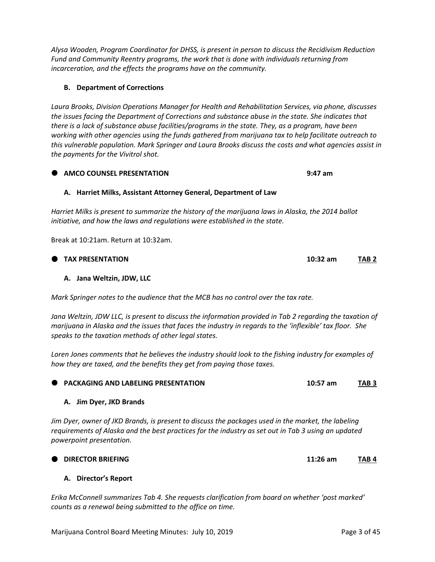*Alysa Wooden, Program Coordinator for DHSS, is present in person to discuss the Recidivism Reduction Fund and Community Reentry programs, the work that is done with individuals returning from incarceration, and the effects the programs have on the community.* 

## **B. Department of Corrections**

*Laura Brooks, Division Operations Manager for Health and Rehabilitation Services, via phone, discusses the issues facing the Department of Corrections and substance abuse in the state. She indicates that there is a lack of substance abuse facilities/programs in the state. They, as a program, have been working with other agencies using the funds gathered from marijuana tax to help facilitate outreach to this vulnerable population. Mark Springer and Laura Brooks discuss the costs and what agencies assist in the payments for the Vivitrol shot.* 

## **AMCO COUNSEL PRESENTATION 9:47 am**

## **A. Harriet Milks, Assistant Attorney General, Department of Law**

*Harriet Milks is present to summarize the history of the marijuana laws in Alaska, the 2014 ballot initiative, and how the laws and regulations were established in the state.*

Break at 10:21am. Return at 10:32am.

## **TAX PRESENTATION 10:32 am TAB 2**

## **A. Jana Weltzin, JDW, LLC**

*Mark Springer notes to the audience that the MCB has no control over the tax rate.*

*Jana Weltzin, JDW LLC, is present to discuss the information provided in Tab 2 regarding the taxation of marijuana in Alaska and the issues that faces the industry in regards to the 'inflexible' tax floor. She speaks to the taxation methods of other legal states.*

*Loren Jones comments that he believes the industry should look to the fishing industry for examples of how they are taxed, and the benefits they get from paying those taxes.*

| ● PACKAGING AND LABELING PRESENTATION<br>TAB <sub>3</sub><br>$10:57$ am |
|-------------------------------------------------------------------------|
|                                                                         |

## **A. Jim Dyer, JKD Brands**

*Jim Dyer, owner of JKD Brands, is present to discuss the packages used in the market, the labeling requirements of Alaska and the best practices for the industry as set out in Tab 3 using an updated powerpoint presentation.* 

| <b>O</b> DIRECTOR BRIEFING | 11:26 am | TAB 4<br><b>Contract Contract Contract Contract</b> |
|----------------------------|----------|-----------------------------------------------------|
| A. Director's Report       |          |                                                     |

*Erika McConnell summarizes Tab 4. She requests clarification from board on whether 'post marked' counts as a renewal being submitted to the office on time.*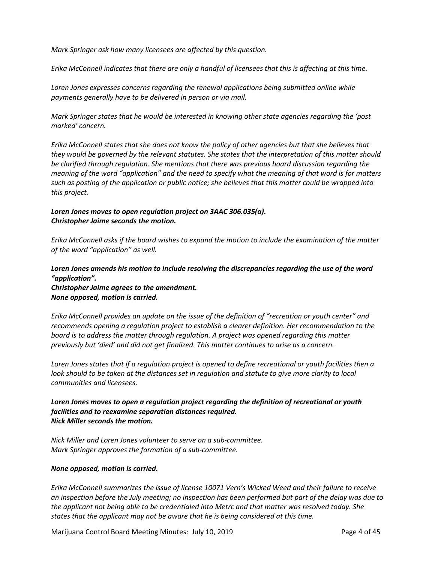*Mark Springer ask how many licensees are affected by this question.*

*Erika McConnell indicates that there are only a handful of licensees that this is affecting at this time.*

*Loren Jones expresses concerns regarding the renewal applications being submitted online while payments generally have to be delivered in person or via mail.*

*Mark Springer states that he would be interested in knowing other state agencies regarding the 'post marked' concern.* 

*Erika McConnell states that she does not know the policy of other agencies but that she believes that they would be governed by the relevant statutes. She states that the interpretation of this matter should be clarified through regulation. She mentions that there was previous board discussion regarding the meaning of the word "application" and the need to specify what the meaning of that word is for matters such as posting of the application or public notice; she believes that this matter could be wrapped into this project.* 

## *Loren Jones moves to open regulation project on 3AAC 306.035(a). Christopher Jaime seconds the motion.*

*Erika McConnell asks if the board wishes to expand the motion to include the examination of the matter of the word "application" as well.* 

*Loren Jones amends his motion to include resolving the discrepancies regarding the use of the word "application". Christopher Jaime agrees to the amendment.* 

*None opposed, motion is carried.*

*Erika McConnell provides an update on the issue of the definition of "recreation or youth center" and recommends opening a regulation project to establish a clearer definition. Her recommendation to the board is to address the matter through regulation. A project was opened regarding this matter previously but 'died' and did not get finalized. This matter continues to arise as a concern.* 

*Loren Jones states that if a regulation project is opened to define recreational or youth facilities then a look should to be taken at the distances set in regulation and statute to give more clarity to local communities and licensees.*

*Loren Jones moves to open a regulation project regarding the definition of recreational or youth facilities and to reexamine separation distances required. Nick Miller seconds the motion.*

*Nick Miller and Loren Jones volunteer to serve on a sub-committee. Mark Springer approves the formation of a sub-committee.*

## *None opposed, motion is carried.*

*Erika McConnell summarizes the issue of license 10071 Vern's Wicked Weed and their failure to receive an inspection before the July meeting; no inspection has been performed but part of the delay was due to the applicant not being able to be credentialed into Metrc and that matter was resolved today. She states that the applicant may not be aware that he is being considered at this time.* 

Marijuana Control Board Meeting Minutes: July 10, 2019 **Page 4 of 45** Page 4 of 45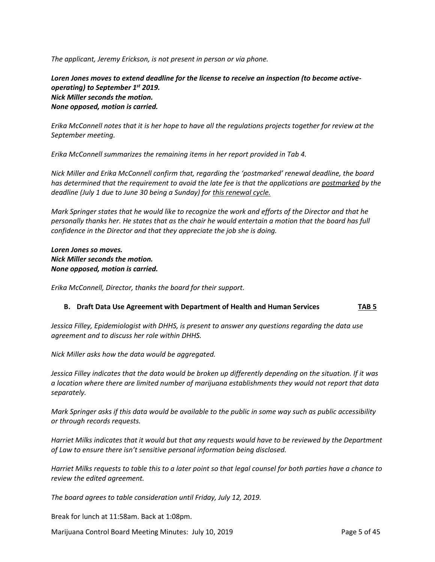*The applicant, Jeremy Erickson, is not present in person or via phone.* 

*Loren Jones moves to extend deadline for the license to receive an inspection (to become activeoperating) to September 1st 2019. Nick Miller seconds the motion. None opposed, motion is carried.*

*Erika McConnell notes that it is her hope to have all the regulations projects together for review at the September meeting.*

*Erika McConnell summarizes the remaining items in her report provided in Tab 4.* 

*Nick Miller and Erika McConnell confirm that, regarding the 'postmarked' renewal deadline, the board has determined that the requirement to avoid the late fee is that the applications are postmarked by the deadline (July 1 due to June 30 being a Sunday) for this renewal cycle.* 

*Mark Springer states that he would like to recognize the work and efforts of the Director and that he personally thanks her. He states that as the chair he would entertain a motion that the board has full confidence in the Director and that they appreciate the job she is doing.* 

*Loren Jones so moves. Nick Miller seconds the motion. None opposed, motion is carried.*

*Erika McConnell, Director, thanks the board for their support.* 

## **B. Draft Data Use Agreement with Department of Health and Human Services TAB 5**

*Jessica Filley, Epidemiologist with DHHS, is present to answer any questions regarding the data use agreement and to discuss her role within DHHS.*

*Nick Miller asks how the data would be aggregated.*

*Jessica Filley indicates that the data would be broken up differently depending on the situation. If it was a location where there are limited number of marijuana establishments they would not report that data separately.*

*Mark Springer asks if this data would be available to the public in some way such as public accessibility or through records requests.*

*Harriet Milks indicates that it would but that any requests would have to be reviewed by the Department of Law to ensure there isn't sensitive personal information being disclosed.*

*Harriet Milks requests to table this to a later point so that legal counsel for both parties have a chance to review the edited agreement.* 

*The board agrees to table consideration until Friday, July 12, 2019.*

Break for lunch at 11:58am. Back at 1:08pm.

Marijuana Control Board Meeting Minutes: July 10, 2019 **Page 5 of 45** Page 5 of 45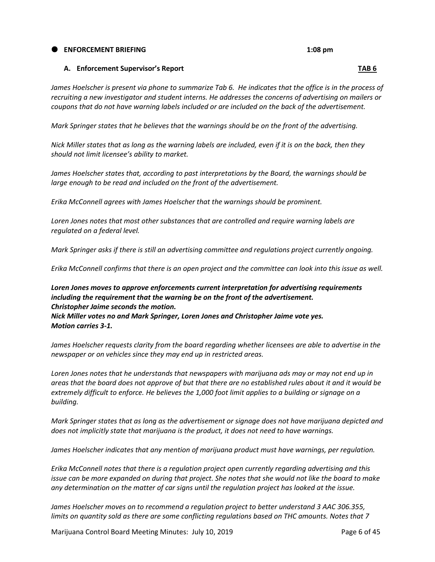## **ENFORCEMENT BRIEFING 1:08 pm**

## **A. Enforcement Supervisor's Report TAB 6**

*James Hoelscher is present via phone to summarize Tab 6. He indicates that the office is in the process of recruiting a new investigator and student interns. He addresses the concerns of advertising on mailers or coupons that do not have warning labels included or are included on the back of the advertisement.*

*Mark Springer states that he believes that the warnings should be on the front of the advertising.*

*Nick Miller states that as long as the warning labels are included, even if it is on the back, then they should not limit licensee's ability to market.*

*James Hoelscher states that, according to past interpretations by the Board, the warnings should be large enough to be read and included on the front of the advertisement.*

*Erika McConnell agrees with James Hoelscher that the warnings should be prominent.*

*Loren Jones notes that most other substances that are controlled and require warning labels are regulated on a federal level.*

*Mark Springer asks if there is still an advertising committee and regulations project currently ongoing.*

*Erika McConnell confirms that there is an open project and the committee can look into this issue as well.*

## *Loren Jones moves to approve enforcements current interpretation for advertising requirements including the requirement that the warning be on the front of the advertisement. Christopher Jaime seconds the motion.*

*Nick Miller votes no and Mark Springer, Loren Jones and Christopher Jaime vote yes. Motion carries 3-1.*

*James Hoelscher requests clarity from the board regarding whether licensees are able to advertise in the newspaper or on vehicles since they may end up in restricted areas.*

*Loren Jones notes that he understands that newspapers with marijuana ads may or may not end up in areas that the board does not approve of but that there are no established rules about it and it would be extremely difficult to enforce. He believes the 1,000 foot limit applies to a building or signage on a building.*

*Mark Springer states that as long as the advertisement or signage does not have marijuana depicted and does not implicitly state that marijuana is the product, it does not need to have warnings.*

*James Hoelscher indicates that any mention of marijuana product must have warnings, per regulation.*

*Erika McConnell notes that there is a regulation project open currently regarding advertising and this issue can be more expanded on during that project. She notes that she would not like the board to make any determination on the matter of car signs until the regulation project has looked at the issue.*

*James Hoelscher moves on to recommend a regulation project to better understand 3 AAC 306.355, limits on quantity sold as there are some conflicting regulations based on THC amounts. Notes that 7* 

Marijuana Control Board Meeting Minutes: July 10, 2019 **Page 6 of 45** Page 6 of 45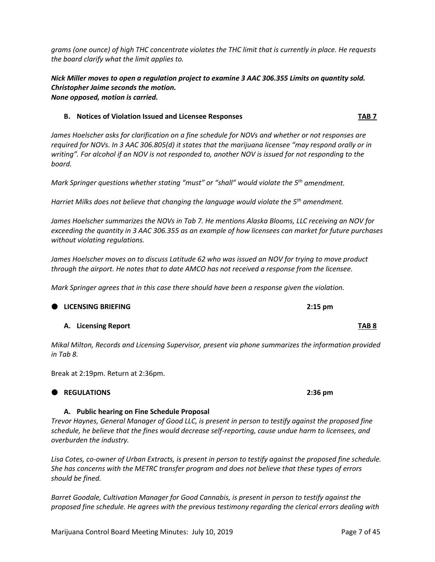*grams (one ounce) of high THC concentrate violates the THC limit that is currently in place. He requests the board clarify what the limit applies to.*

*Nick Miller moves to open a regulation project to examine 3 AAC 306.355 Limits on quantity sold. Christopher Jaime seconds the motion. None opposed, motion is carried.*

## **B. Notices of Violation Issued and Licensee Responses TAB 7**

*James Hoelscher asks for clarification on a fine schedule for NOVs and whether or not responses are required for NOVs. In 3 AAC 306.805(d) it states that the marijuana licensee "may respond orally or in writing". For alcohol if an NOV is not responded to, another NOV is issued for not responding to the board.*

*Mark Springer questions whether stating "must" or "shall" would violate the 5th amendment.*

*Harriet Milks does not believe that changing the language would violate the 5th amendment.*

*James Hoelscher summarizes the NOVs in Tab 7. He mentions Alaska Blooms, LLC receiving an NOV for exceeding the quantity in 3 AAC 306.355 as an example of how licensees can market for future purchases without violating regulations.*

*James Hoelscher moves on to discuss Latitude 62 who was issued an NOV for trying to move product through the airport. He notes that to date AMCO has not received a response from the licensee.*

*Mark Springer agrees that in this case there should have been a response given the violation.*

**LICENSING BRIEFING 2:15 pm**

*Mikal Milton, Records and Licensing Supervisor, present via phone summarizes the information provided in Tab 8.*

Break at 2:19pm. Return at 2:36pm.

## **REGULATIONS 2:36 pm**

## **A. Public hearing on Fine Schedule Proposal**

*Trevor Haynes, General Manager of Good LLC, is present in person to testify against the proposed fine schedule, he believe that the fines would decrease self-reporting, cause undue harm to licensees, and overburden the industry.*

*Lisa Cotes, co-owner of Urban Extracts, is present in person to testify against the proposed fine schedule. She has concerns with the METRC transfer program and does not believe that these types of errors should be fined.*

*Barret Goodale, Cultivation Manager for Good Cannabis, is present in person to testify against the proposed fine schedule. He agrees with the previous testimony regarding the clerical errors dealing with* 

**A. Licensing Report TAB 8**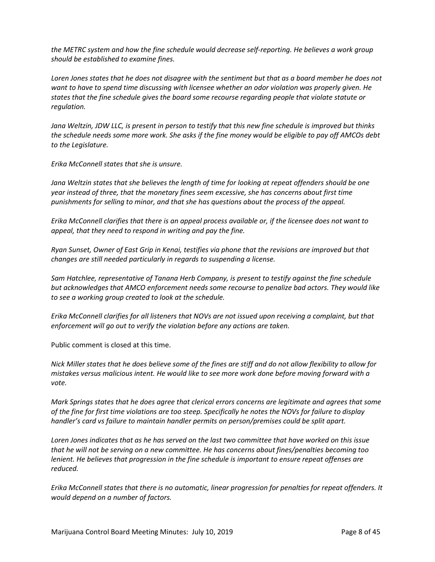*the METRC system and how the fine schedule would decrease self-reporting. He believes a work group should be established to examine fines.*

*Loren Jones states that he does not disagree with the sentiment but that as a board member he does not want to have to spend time discussing with licensee whether an odor violation was properly given. He states that the fine schedule gives the board some recourse regarding people that violate statute or regulation.*

*Jana Weltzin, JDW LLC, is present in person to testify that this new fine schedule is improved but thinks the schedule needs some more work. She asks if the fine money would be eligible to pay off AMCOs debt to the Legislature.*

*Erika McConnell states that she is unsure.* 

*Jana Weltzin states that she believes the length of time for looking at repeat offenders should be one year instead of three, that the monetary fines seem excessive, she has concerns about first time punishments for selling to minor, and that she has questions about the process of the appeal.*

*Erika McConnell clarifies that there is an appeal process available or, if the licensee does not want to appeal, that they need to respond in writing and pay the fine.*

*Ryan Sunset, Owner of East Grip in Kenai, testifies via phone that the revisions are improved but that changes are still needed particularly in regards to suspending a license.*

*Sam Hatchlee, representative of Tanana Herb Company, is present to testify against the fine schedule but acknowledges that AMCO enforcement needs some recourse to penalize bad actors. They would like to see a working group created to look at the schedule.*

*Erika McConnell clarifies for all listeners that NOVs are not issued upon receiving a complaint, but that enforcement will go out to verify the violation before any actions are taken.*

Public comment is closed at this time.

*Nick Miller states that he does believe some of the fines are stiff and do not allow flexibility to allow for mistakes versus malicious intent. He would like to see more work done before moving forward with a vote.*

*Mark Springs states that he does agree that clerical errors concerns are legitimate and agrees that some of the fine for first time violations are too steep. Specifically he notes the NOVs for failure to display handler's card vs failure to maintain handler permits on person/premises could be split apart.*

*Loren Jones indicates that as he has served on the last two committee that have worked on this issue that he will not be serving on a new committee. He has concerns about fines/penalties becoming too lenient. He believes that progression in the fine schedule is important to ensure repeat offenses are reduced.*

*Erika McConnell states that there is no automatic, linear progression for penalties for repeat offenders. It would depend on a number of factors.*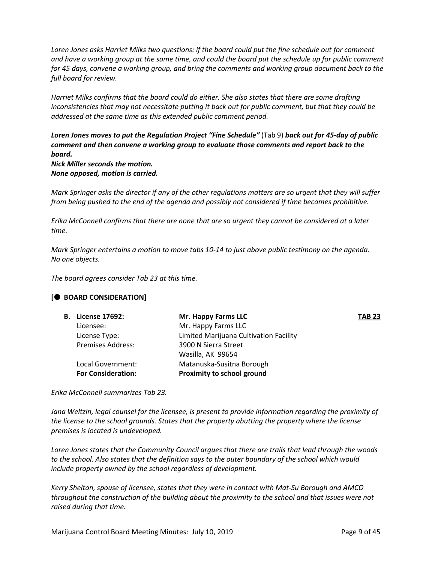*Loren Jones asks Harriet Milks two questions: if the board could put the fine schedule out for comment and have a working group at the same time, and could the board put the schedule up for public comment for 45 days, convene a working group, and bring the comments and working group document back to the full board for review.*

*Harriet Milks confirms that the board could do either. She also states that there are some drafting inconsistencies that may not necessitate putting it back out for public comment, but that they could be addressed at the same time as this extended public comment period.*

*Loren Jones moves to put the Regulation Project "Fine Schedule"* (Tab 9) *back out for 45-day of public comment and then convene a working group to evaluate those comments and report back to the board. Nick Miller seconds the motion.*

*None opposed, motion is carried.*

*Mark Springer asks the director if any of the other regulations matters are so urgent that they will suffer from being pushed to the end of the agenda and possibly not considered if time becomes prohibitive.* 

*Erika McConnell confirms that there are none that are so urgent they cannot be considered at a later time.* 

*Mark Springer entertains a motion to move tabs 10-14 to just above public testimony on the agenda. No one objects.* 

*The board agrees consider Tab 23 at this time.* 

## **[ BOARD CONSIDERATION]**

| <b>B.</b> License 17692:  | Mr. Happy Farms LLC                    | <b>TAB 23</b> |
|---------------------------|----------------------------------------|---------------|
| Licensee:                 | Mr. Happy Farms LLC                    |               |
| License Type:             | Limited Marijuana Cultivation Facility |               |
| <b>Premises Address:</b>  | 3900 N Sierra Street                   |               |
|                           | Wasilla, AK 99654                      |               |
| Local Government:         | Matanuska-Susitna Borough              |               |
| <b>For Consideration:</b> | Proximity to school ground             |               |

*Erika McConnell summarizes Tab 23.*

*Jana Weltzin, legal counsel for the licensee, is present to provide information regarding the proximity of the license to the school grounds. States that the property abutting the property where the license premises is located is undeveloped.*

*Loren Jones states that the Community Council argues that there are trails that lead through the woods to the school. Also states that the definition says to the outer boundary of the school which would include property owned by the school regardless of development.*

*Kerry Shelton, spouse of licensee, states that they were in contact with Mat-Su Borough and AMCO throughout the construction of the building about the proximity to the school and that issues were not raised during that time.*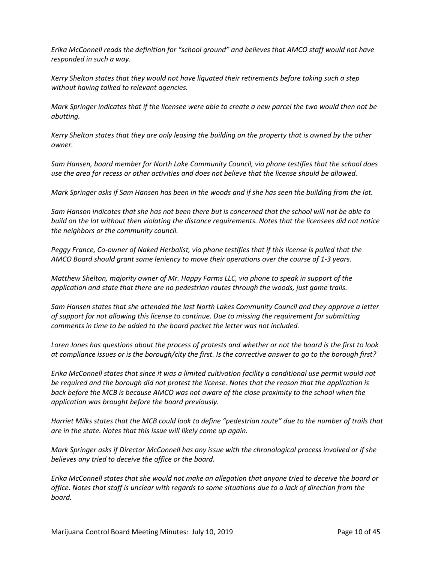*Erika McConnell reads the definition for "school ground" and believes that AMCO staff would not have responded in such a way.*

*Kerry Shelton states that they would not have liquated their retirements before taking such a step without having talked to relevant agencies.*

*Mark Springer indicates that if the licensee were able to create a new parcel the two would then not be abutting.*

*Kerry Shelton states that they are only leasing the building on the property that is owned by the other owner.*

*Sam Hansen, board member for North Lake Community Council, via phone testifies that the school does use the area for recess or other activities and does not believe that the license should be allowed.*

*Mark Springer asks if Sam Hansen has been in the woods and if she has seen the building from the lot.*

*Sam Hanson indicates that she has not been there but is concerned that the school will not be able to build on the lot without then violating the distance requirements. Notes that the licensees did not notice the neighbors or the community council.*

*Peggy France, Co-owner of Naked Herbalist, via phone testifies that if this license is pulled that the AMCO Board should grant some leniency to move their operations over the course of 1-3 years.*

*Matthew Shelton, majority owner of Mr. Happy Farms LLC, via phone to speak in support of the application and state that there are no pedestrian routes through the woods, just game trails.*

*Sam Hansen states that she attended the last North Lakes Community Council and they approve a letter of support for not allowing this license to continue. Due to missing the requirement for submitting comments in time to be added to the board packet the letter was not included.*

*Loren Jones has questions about the process of protests and whether or not the board is the first to look at compliance issues or is the borough/city the first. Is the corrective answer to go to the borough first?*

*Erika McConnell states that since it was a limited cultivation facility a conditional use permit would not be required and the borough did not protest the license. Notes that the reason that the application is back before the MCB is because AMCO was not aware of the close proximity to the school when the application was brought before the board previously.*

*Harriet Milks states that the MCB could look to define "pedestrian route" due to the number of trails that are in the state. Notes that this issue will likely come up again.*

*Mark Springer asks if Director McConnell has any issue with the chronological process involved or if she believes any tried to deceive the office or the board.*

*Erika McConnell states that she would not make an allegation that anyone tried to deceive the board or office. Notes that staff is unclear with regards to some situations due to a lack of direction from the board.*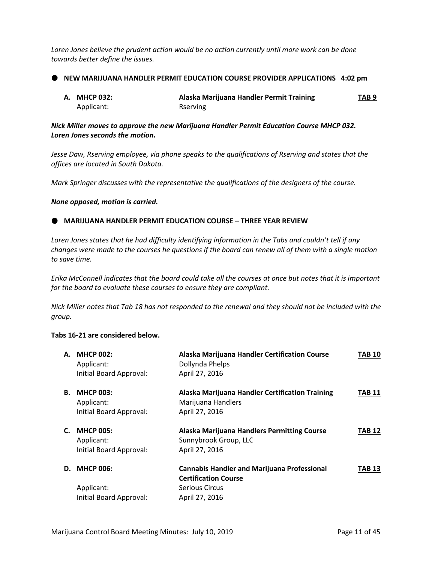*Loren Jones believe the prudent action would be no action currently until more work can be done towards better define the issues.*

**NEW MARIJUANA HANDLER PERMIT EDUCATION COURSE PROVIDER APPLICATIONS 4:02 pm**

**A. MHCP 032: Alaska Marijuana Handler Permit Training TAB 9** Applicant: Rserving

*Nick Miller moves to approve the new Marijuana Handler Permit Education Course MHCP 032. Loren Jones seconds the motion.*

*Jesse Daw, Rserving employee, via phone speaks to the qualifications of Rserving and states that the offices are located in South Dakota.*

*Mark Springer discusses with the representative the qualifications of the designers of the course.*

*None opposed, motion is carried.*

#### **MARIJUANA HANDLER PERMIT EDUCATION COURSE – THREE YEAR REVIEW**

*Loren Jones states that he had difficulty identifying information in the Tabs and couldn't tell if any changes were made to the courses he questions if the board can renew all of them with a single motion to save time.*

*Erika McConnell indicates that the board could take all the courses at once but notes that it is important for the board to evaluate these courses to ensure they are compliant.*

*Nick Miller notes that Tab 18 has not responded to the renewal and they should not be included with the group.*

## **Tabs 16-21 are considered below.**

| А. | <b>MHCP 002:</b><br>Applicant:<br>Initial Board Approval: | Alaska Marijuana Handler Certification Course<br>Dollynda Phelps<br>April 27, 2016                                           | <b>TAB 10</b> |
|----|-----------------------------------------------------------|------------------------------------------------------------------------------------------------------------------------------|---------------|
| В. | <b>MHCP 003:</b><br>Applicant:<br>Initial Board Approval: | Alaska Marijuana Handler Certification Training<br>Marijuana Handlers<br>April 27, 2016                                      | TAB 11        |
| C. | <b>MHCP 005:</b><br>Applicant:<br>Initial Board Approval: | Alaska Marijuana Handlers Permitting Course<br>Sunnybrook Group, LLC<br>April 27, 2016                                       | <b>TAB 12</b> |
| D. | <b>MHCP 006:</b><br>Applicant:<br>Initial Board Approval: | <b>Cannabis Handler and Marijuana Professional</b><br><b>Certification Course</b><br><b>Serious Circus</b><br>April 27, 2016 | <b>TAB 13</b> |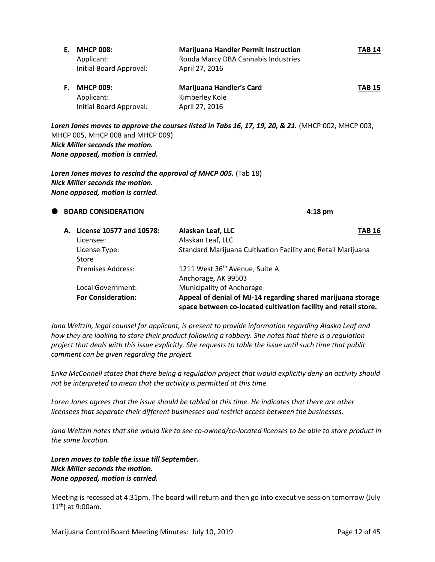| Е. | <b>MHCP 008:</b>        | <b>Marijuana Handler Permit Instruction</b> | <b>TAB 14</b> |
|----|-------------------------|---------------------------------------------|---------------|
|    | Applicant:              | Ronda Marcy DBA Cannabis Industries         |               |
|    | Initial Board Approval: | April 27, 2016                              |               |
| F. | <b>MHCP 009:</b>        | Marijuana Handler's Card                    | <b>TAB 15</b> |
|    | Applicant:              | Kimberley Kole                              |               |
|    | Initial Board Approval: | April 27, 2016                              |               |

Loren Jones moves to approve the courses listed in Tabs 16, 17, 19, 20, & 21. (MHCP 002, MHCP 003, MHCP 005, MHCP 008 and MHCP 009) *Nick Miller seconds the motion. None opposed, motion is carried.*

*Loren Jones moves to rescind the approval of MHCP 005.* (Tab 18) *Nick Miller seconds the motion. None opposed, motion is carried.*

| $\bullet$ | <b>BOARD CONSIDERATION</b>               | $4:18$ pm                                                                                                                       |  |
|-----------|------------------------------------------|---------------------------------------------------------------------------------------------------------------------------------|--|
|           | A. License 10577 and 10578:<br>Licensee: | Alaskan Leaf, LLC<br><b>TAB 16</b><br>Alaskan Leaf, LLC                                                                         |  |
|           | License Type:<br>Store                   | Standard Marijuana Cultivation Facility and Retail Marijuana                                                                    |  |
|           | <b>Premises Address:</b>                 | 1211 West 36 <sup>th</sup> Avenue, Suite A<br>Anchorage, AK 99503                                                               |  |
|           | Local Government:                        | Municipality of Anchorage                                                                                                       |  |
|           | <b>For Consideration:</b>                | Appeal of denial of MJ-14 regarding shared marijuana storage<br>space between co-located cultivation facility and retail store. |  |

*Jana Weltzin, legal counsel for applicant, is present to provide information regarding Alaska Leaf and how they are looking to store their product following a robbery. She notes that there is a regulation project that deals with this issue explicitly. She requests to table the issue until such time that public comment can be given regarding the project.* 

*Erika McConnell states that there being a regulation project that would explicitly deny an activity should not be interpreted to mean that the activity is permitted at this time.*

*Loren Jones agrees that the issue should be tabled at this time. He indicates that there are other licensees that separate their different businesses and restrict access between the businesses.*

*Jana Weltzin notes that she would like to see co-owned/co-located licenses to be able to store product in the same location.*

*Loren moves to table the issue till September. Nick Miller seconds the motion. None opposed, motion is carried.*

Meeting is recessed at 4:31pm. The board will return and then go into executive session tomorrow (July  $11^{th}$ ) at 9:00am.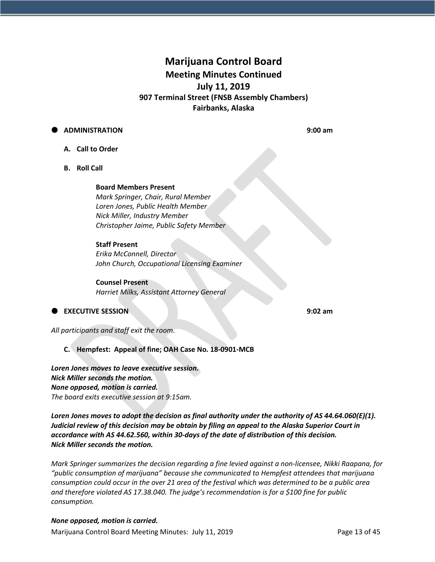# **Marijuana Control Board Meeting Minutes Continued July 11, 2019 907 Terminal Street (FNSB Assembly Chambers) Fairbanks, Alaska**

#### **ADMINISTRATION 9:00 am**

- **A. Call to Order**
- **B. Roll Call**

## **Board Members Present**

*Mark Springer, Chair, Rural Member Loren Jones, Public Health Member Nick Miller, Industry Member Christopher Jaime, Public Safety Member*

#### **Staff Present**

*Erika McConnell, Director John Church, Occupational Licensing Examiner*

**Counsel Present** *Harriet Milks, Assistant Attorney General*

## **EXECUTIVE SESSION 9:02 am**

*All participants and staff exit the room.*

## **C. Hempfest: Appeal of fine; OAH Case No. 18-0901-MCB**

*Loren Jones moves to leave executive session. Nick Miller seconds the motion. None opposed, motion is carried. The board exits executive session at 9:15am.*

*Loren Jones moves to adopt the decision as final authority under the authority of AS 44.64.060(E)(1). Judicial review of this decision may be obtain by filing an appeal to the Alaska Superior Court in accordance with AS 44.62.560, within 30-days of the date of distribution of this decision. Nick Miller seconds the motion.*

*Mark Springer summarizes the decision regarding a fine levied against a non-licensee, Nikki Raapana, for "public consumption of marijuana" because she communicated to Hempfest attendees that marijuana consumption could occur in the over 21 area of the festival which was determined to be a public area and therefore violated AS 17.38.040. The judge's recommendation is for a \$100 fine for public consumption.*

Marijuana Control Board Meeting Minutes: July 11, 2019 **Page 13 of 45** Page 13 of 45 *None opposed, motion is carried.*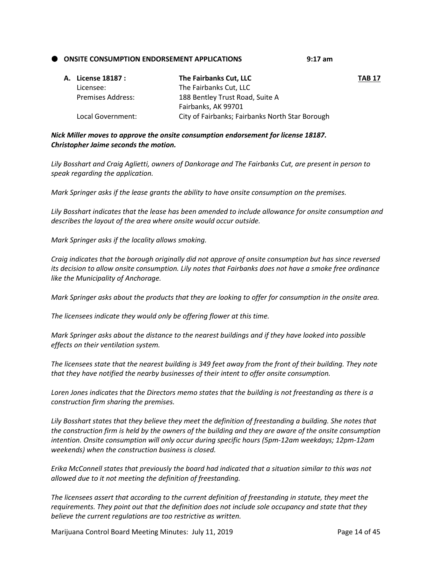**ONSITE CONSUMPTION ENDORSEMENT APPLICATIONS 9:17 am**

| <b>A. License 18187 :</b> | The Fairbanks Cut, LLC                          | <b>TAB 17</b> |
|---------------------------|-------------------------------------------------|---------------|
| Licensee:                 | The Fairbanks Cut, LLC                          |               |
| <b>Premises Address:</b>  | 188 Bentley Trust Road, Suite A                 |               |
|                           | Fairbanks, AK 99701                             |               |
| Local Government:         | City of Fairbanks; Fairbanks North Star Borough |               |

## *Nick Miller moves to approve the onsite consumption endorsement for license 18187. Christopher Jaime seconds the motion.*

*Lily Bosshart and Craig Aglietti, owners of Dankorage and The Fairbanks Cut, are present in person to speak regarding the application.*

*Mark Springer asks if the lease grants the ability to have onsite consumption on the premises.*

*Lily Bosshart indicates that the lease has been amended to include allowance for onsite consumption and describes the layout of the area where onsite would occur outside.*

*Mark Springer asks if the locality allows smoking.*

*Craig indicates that the borough originally did not approve of onsite consumption but has since reversed its decision to allow onsite consumption. Lily notes that Fairbanks does not have a smoke free ordinance like the Municipality of Anchorage.*

*Mark Springer asks about the products that they are looking to offer for consumption in the onsite area.*

*The licensees indicate they would only be offering flower at this time.*

*Mark Springer asks about the distance to the nearest buildings and if they have looked into possible effects on their ventilation system.*

*The licensees state that the nearest building is 349 feet away from the front of their building. They note that they have notified the nearby businesses of their intent to offer onsite consumption.*

*Loren Jones indicates that the Directors memo states that the building is not freestanding as there is a construction firm sharing the premises.* 

*Lily Bosshart states that they believe they meet the definition of freestanding a building. She notes that the construction firm is held by the owners of the building and they are aware of the onsite consumption intention. Onsite consumption will only occur during specific hours (5pm-12am weekdays; 12pm-12am weekends) when the construction business is closed.*

*Erika McConnell states that previously the board had indicated that a situation similar to this was not allowed due to it not meeting the definition of freestanding.*

*The licensees assert that according to the current definition of freestanding in statute, they meet the requirements. They point out that the definition does not include sole occupancy and state that they believe the current regulations are too restrictive as written.*

Marijuana Control Board Meeting Minutes: July 11, 2019 **Page 14 of 45** Page 14 of 45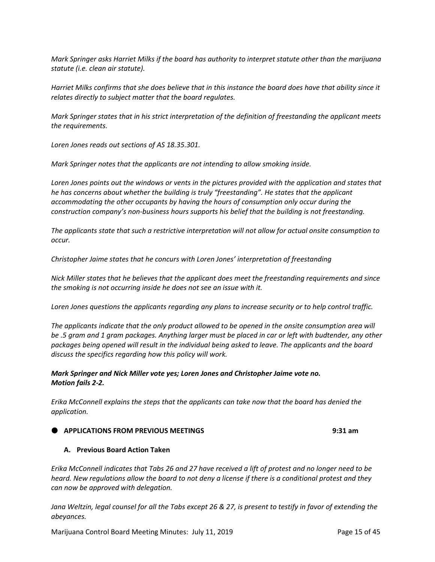*Mark Springer asks Harriet Milks if the board has authority to interpret statute other than the marijuana statute (i.e. clean air statute).*

*Harriet Milks confirms that she does believe that in this instance the board does have that ability since it relates directly to subject matter that the board regulates.*

*Mark Springer states that in his strict interpretation of the definition of freestanding the applicant meets the requirements.*

*Loren Jones reads out sections of AS 18.35.301.*

*Mark Springer notes that the applicants are not intending to allow smoking inside.*

*Loren Jones points out the windows or vents in the pictures provided with the application and states that he has concerns about whether the building is truly "freestanding". He states that the applicant accommodating the other occupants by having the hours of consumption only occur during the construction company's non-business hours supports his belief that the building is not freestanding.*

*The applicants state that such a restrictive interpretation will not allow for actual onsite consumption to occur.*

*Christopher Jaime states that he concurs with Loren Jones' interpretation of freestanding*

*Nick Miller states that he believes that the applicant does meet the freestanding requirements and since the smoking is not occurring inside he does not see an issue with it.*

*Loren Jones questions the applicants regarding any plans to increase security or to help control traffic.*

*The applicants indicate that the only product allowed to be opened in the onsite consumption area will be .5 gram and 1 gram packages. Anything larger must be placed in car or left with budtender, any other packages being opened will result in the individual being asked to leave. The applicants and the board discuss the specifics regarding how this policy will work.* 

## *Mark Springer and Nick Miller vote yes; Loren Jones and Christopher Jaime vote no. Motion fails 2-2.*

*Erika McConnell explains the steps that the applicants can take now that the board has denied the application.*

#### **APPLICATIONS FROM PREVIOUS MEETINGS 9:31 am**

#### **A. Previous Board Action Taken**

*Erika McConnell indicates that Tabs 26 and 27 have received a lift of protest and no longer need to be heard. New regulations allow the board to not deny a license if there is a conditional protest and they can now be approved with delegation.*

*Jana Weltzin, legal counsel for all the Tabs except 26 & 27, is present to testify in favor of extending the abeyances.*

Marijuana Control Board Meeting Minutes: July 11, 2019 **Page 15 of 45** Page 15 of 45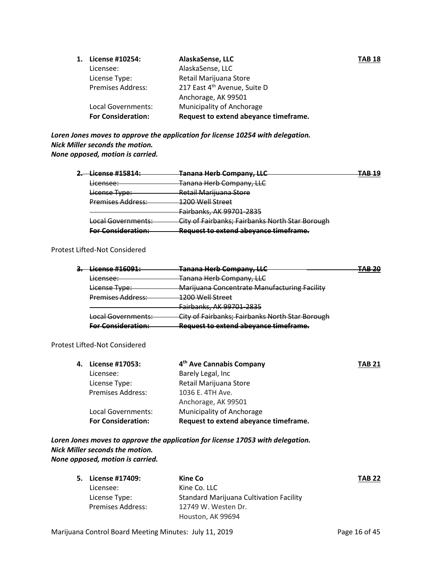| 1. | License #10254:           | AlaskaSense, LLC                         | <b>TAB 18</b> |
|----|---------------------------|------------------------------------------|---------------|
|    | Licensee:                 | AlaskaSense, LLC                         |               |
|    | License Type:             | Retail Marijuana Store                   |               |
|    | <b>Premises Address:</b>  | 217 East 4 <sup>th</sup> Avenue, Suite D |               |
|    |                           | Anchorage, AK 99501                      |               |
|    | Local Governments:        | <b>Municipality of Anchorage</b>         |               |
|    | <b>For Consideration:</b> | Request to extend abeyance timeframe.    |               |

*Loren Jones moves to approve the application for license 10254 with delegation. Nick Miller seconds the motion. None opposed, motion is carried.*

| Ticanca #1581A.           | <b>Tanana Herb Company, LLC</b>                                          | TAR 10 |
|---------------------------|--------------------------------------------------------------------------|--------|
| Licensee:                 | Tanana Herb Company, LLC                                                 |        |
| License Type:             | Retail Marijuana Store                                                   |        |
| <b>Premises Address:</b>  | 1200 Well Street                                                         |        |
|                           | <u> Fairbanks, AK 99701-2835</u>                                         |        |
| Local Governments:        | City of Fairbanks; Fairbanks North Star Borough                          |        |
| <b>Ear Consideration:</b> | Request to extend abovance timeframe<br>ncaacor to cutena aperante time. |        |

## Protest Lifted-Not Considered

| <del>License #16091:</del> | <b>Tanana Herb Company, LLC</b>                 | חר ם ת |
|----------------------------|-------------------------------------------------|--------|
| Licensee:                  | Tanana Herb Company, LLC                        |        |
| License Type:              | Marijuana Concentrate Manufacturing Facility    |        |
| <b>Premises Address:</b>   | 1200 Well Street                                |        |
|                            | Fairbanks, AK 99701-2835                        |        |
| Local Governments:         | City of Fairbanks; Fairbanks North Star Borough |        |
| <b>Ear Consideration:</b>  | <b>Request to extend abeyance timeframe.</b>    |        |
|                            |                                                 |        |

## Protest Lifted-Not Considered

| 4. | License #17053:           | 4 <sup>th</sup> Ave Cannabis Company  | <b>TAB 21</b> |
|----|---------------------------|---------------------------------------|---------------|
|    | Licensee:                 | Barely Legal, Inc                     |               |
|    | License Type:             | Retail Marijuana Store                |               |
|    | <b>Premises Address:</b>  | 1036 E. 4TH Ave.                      |               |
|    |                           | Anchorage, AK 99501                   |               |
|    | Local Governments:        | <b>Municipality of Anchorage</b>      |               |
|    | <b>For Consideration:</b> | Request to extend abeyance timeframe. |               |
|    |                           |                                       |               |

*Loren Jones moves to approve the application for license 17053 with delegation. Nick Miller seconds the motion. None opposed, motion is carried.*

| <b>5.</b> License #17409: | <b>Kine Co</b>                                 | <b>TAB 22</b> |
|---------------------------|------------------------------------------------|---------------|
| Licensee:                 | Kine Co. LLC                                   |               |
| License Type:             | <b>Standard Marijuana Cultivation Facility</b> |               |
| <b>Premises Address:</b>  | 12749 W. Westen Dr.                            |               |
|                           | Houston, AK 99694                              |               |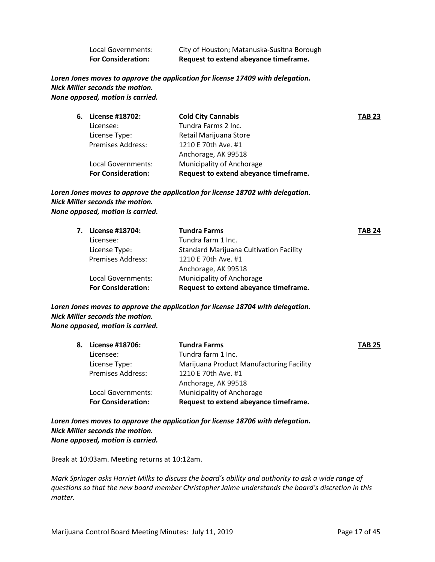| <b>For Consideration:</b> | Request to extend abeyance timeframe.      |
|---------------------------|--------------------------------------------|
| Local Governments:        | City of Houston; Matanuska-Susitna Borough |

*Loren Jones moves to approve the application for license 17409 with delegation. Nick Miller seconds the motion. None opposed, motion is carried.*

| 6. | License #18702:           | <b>Cold City Cannabis</b>             | <b>TAB 23</b> |
|----|---------------------------|---------------------------------------|---------------|
|    | Licensee:                 | Tundra Farms 2 Inc.                   |               |
|    | License Type:             | Retail Marijuana Store                |               |
|    | <b>Premises Address:</b>  | 1210 E 70th Ave. #1                   |               |
|    |                           | Anchorage, AK 99518                   |               |
|    | Local Governments:        | <b>Municipality of Anchorage</b>      |               |
|    | <b>For Consideration:</b> | Request to extend abeyance timeframe. |               |

*Loren Jones moves to approve the application for license 18702 with delegation. Nick Miller seconds the motion. None opposed, motion is carried.*

| 7. | License #18704:           | <b>Tundra Farms</b>                            | <b>TAB 24</b> |
|----|---------------------------|------------------------------------------------|---------------|
|    | Licensee:                 | Tundra farm 1 Inc.                             |               |
|    | License Type:             | <b>Standard Marijuana Cultivation Facility</b> |               |
|    | <b>Premises Address:</b>  | 1210 E 70th Ave. #1                            |               |
|    |                           | Anchorage, AK 99518                            |               |
|    | Local Governments:        | Municipality of Anchorage                      |               |
|    | <b>For Consideration:</b> | Request to extend abeyance timeframe.          |               |
|    |                           |                                                |               |

*Loren Jones moves to approve the application for license 18704 with delegation. Nick Miller seconds the motion. None opposed, motion is carried.*

| 8. | License #18706:           | <b>Tundra Farms</b>                      | <b>TAB 25</b> |
|----|---------------------------|------------------------------------------|---------------|
|    | Licensee:                 | Tundra farm 1 Inc.                       |               |
|    | License Type:             | Marijuana Product Manufacturing Facility |               |
|    | <b>Premises Address:</b>  | 1210 E 70th Ave. #1                      |               |
|    |                           | Anchorage, AK 99518                      |               |
|    | Local Governments:        | <b>Municipality of Anchorage</b>         |               |
|    | <b>For Consideration:</b> | Request to extend abeyance timeframe.    |               |

*Loren Jones moves to approve the application for license 18706 with delegation. Nick Miller seconds the motion. None opposed, motion is carried.*

Break at 10:03am. Meeting returns at 10:12am.

*Mark Springer asks Harriet Milks to discuss the board's ability and authority to ask a wide range of questions so that the new board member Christopher Jaime understands the board's discretion in this matter.*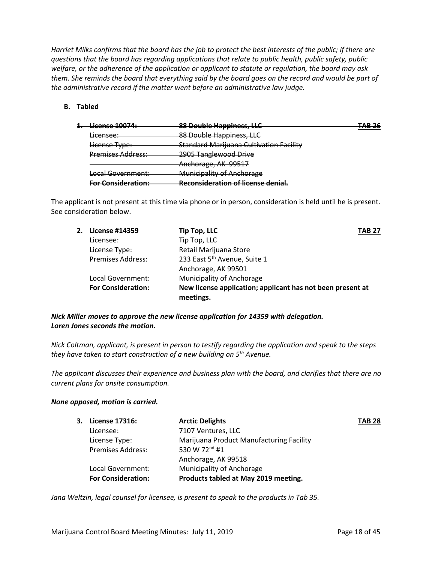*Harriet Milks confirms that the board has the job to protect the best interests of the public; if there are questions that the board has regarding applications that relate to public health, public safety, public welfare, or the adherence of the application or applicant to statute or regulation, the board may ask them. She reminds the board that everything said by the board goes on the record and would be part of the administrative record if the matter went before an administrative law judge.* 

## **B. Tabled**

| License 10074:                  | <b>88 Double Happiness, LLC</b>                | TAD J <i>c</i><br>. |
|---------------------------------|------------------------------------------------|---------------------|
| icancaa:<br><del>uccnsce.</del> | 88 Double Happiness, LLC                       |                     |
| License Type:                   | <b>Standard Marijuana Cultivation Facility</b> |                     |
| <b>Premises Address:</b>        | 2905 Tanglewood Drive                          |                     |
|                                 | Anchorage, AK 99517                            |                     |
| Local Government:               | <b>Municipality of Anchorage</b>               |                     |
| <b>Ear Concideration:</b>       | <b>Peconcideration of license denial</b>       |                     |

The applicant is not present at this time via phone or in person, consideration is held until he is present. See consideration below.

|                           | Tip Top, LLC                             | <b>TAB 27</b>                                              |
|---------------------------|------------------------------------------|------------------------------------------------------------|
| Licensee:                 | Tip Top, LLC                             |                                                            |
| License Type:             | Retail Marijuana Store                   |                                                            |
| Premises Address:         | 233 East 5 <sup>th</sup> Avenue, Suite 1 |                                                            |
|                           | Anchorage, AK 99501                      |                                                            |
| Local Government:         | Municipality of Anchorage                |                                                            |
| <b>For Consideration:</b> | meetings.                                |                                                            |
|                           | 2. License #14359                        | New license application; applicant has not been present at |

*Nick Miller moves to approve the new license application for 14359 with delegation. Loren Jones seconds the motion.*

*Nick Coltman, applicant, is present in person to testify regarding the application and speak to the steps they have taken to start construction of a new building on 5th Avenue.*

*The applicant discusses their experience and business plan with the board, and clarifies that there are no current plans for onsite consumption.* 

## *None opposed, motion is carried.*

| 3. License 17316:         | <b>Arctic Delights</b>                   | <b>TAB 28</b> |
|---------------------------|------------------------------------------|---------------|
| Licensee:                 | 7107 Ventures, LLC                       |               |
| License Type:             | Marijuana Product Manufacturing Facility |               |
| <b>Premises Address:</b>  | 530 W 72 <sup>nd</sup> #1                |               |
|                           | Anchorage, AK 99518                      |               |
| Local Government:         | Municipality of Anchorage                |               |
| <b>For Consideration:</b> | Products tabled at May 2019 meeting.     |               |

*Jana Weltzin, legal counsel for licensee, is present to speak to the products in Tab 35.*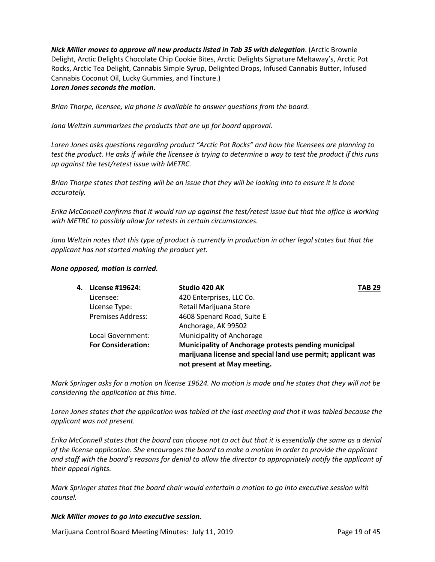*Nick Miller moves to approve all new products listed in Tab 35 with delegation*. (Arctic Brownie Delight, Arctic Delights Chocolate Chip Cookie Bites, Arctic Delights Signature Meltaway's, Arctic Pot Rocks, Arctic Tea Delight, Cannabis Simple Syrup, Delighted Drops, Infused Cannabis Butter, Infused Cannabis Coconut Oil, Lucky Gummies, and Tincture.) *Loren Jones seconds the motion.*

*Brian Thorpe, licensee, via phone is available to answer questions from the board.*

*Jana Weltzin summarizes the products that are up for board approval.*

*Loren Jones asks questions regarding product "Arctic Pot Rocks" and how the licensees are planning to test the product. He asks if while the licensee is trying to determine a way to test the product if this runs up against the test/retest issue with METRC.*

*Brian Thorpe states that testing will be an issue that they will be looking into to ensure it is done accurately.*

*Erika McConnell confirms that it would run up against the test/retest issue but that the office is working with METRC to possibly allow for retests in certain circumstances.* 

*Jana Weltzin notes that this type of product is currently in production in other legal states but that the applicant has not started making the product yet.*

#### *None opposed, motion is carried.*

| Studio 420 AK                                                                                                                                       | TAB 29 |
|-----------------------------------------------------------------------------------------------------------------------------------------------------|--------|
| 420 Enterprises, LLC Co.                                                                                                                            |        |
| Retail Marijuana Store                                                                                                                              |        |
| 4608 Spenard Road, Suite E                                                                                                                          |        |
| Anchorage, AK 99502                                                                                                                                 |        |
| Municipality of Anchorage                                                                                                                           |        |
| Municipality of Anchorage protests pending municipal<br>marijuana license and special land use permit; applicant was<br>not present at May meeting. |        |
| Licensee:<br>License Type:<br><b>Premises Address:</b><br>Local Government:<br><b>For Consideration:</b>                                            |        |

*Mark Springer asks for a motion on license 19624. No motion is made and he states that they will not be considering the application at this time.* 

*Loren Jones states that the application was tabled at the last meeting and that it was tabled because the applicant was not present.* 

*Erika McConnell states that the board can choose not to act but that it is essentially the same as a denial of the license application. She encourages the board to make a motion in order to provide the applicant and staff with the board's reasons for denial to allow the director to appropriately notify the applicant of their appeal rights.* 

*Mark Springer states that the board chair would entertain a motion to go into executive session with counsel.* 

#### *Nick Miller moves to go into executive session.*

Marijuana Control Board Meeting Minutes: July 11, 2019 **Page 19 of 45** Page 19 of 45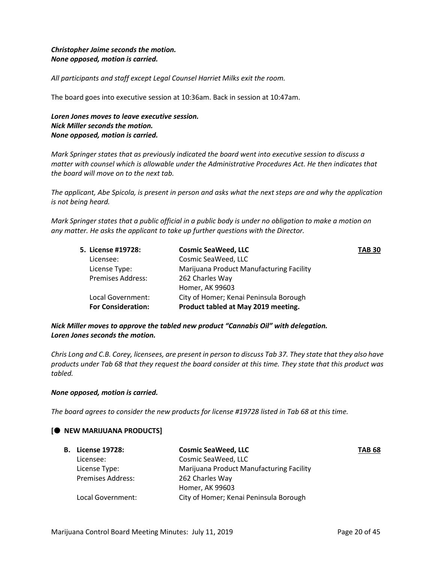## *Christopher Jaime seconds the motion. None opposed, motion is carried.*

*All participants and staff except Legal Counsel Harriet Milks exit the room.*

The board goes into executive session at 10:36am. Back in session at 10:47am.

*Loren Jones moves to leave executive session. Nick Miller seconds the motion. None opposed, motion is carried.*

*Mark Springer states that as previously indicated the board went into executive session to discuss a matter with counsel which is allowable under the Administrative Procedures Act. He then indicates that the board will move on to the next tab.* 

*The applicant, Abe Spicola, is present in person and asks what the next steps are and why the application is not being heard.*

*Mark Springer states that a public official in a public body is under no obligation to make a motion on any matter. He asks the applicant to take up further questions with the Director.* 

| 5. License #19728:        | <b>Cosmic SeaWeed, LLC</b>               | <b>TAB 30</b> |
|---------------------------|------------------------------------------|---------------|
| Licensee:                 | Cosmic SeaWeed, LLC                      |               |
| License Type:             | Marijuana Product Manufacturing Facility |               |
| <b>Premises Address:</b>  | 262 Charles Way                          |               |
|                           | Homer, AK 99603                          |               |
| Local Government:         | City of Homer; Kenai Peninsula Borough   |               |
| <b>For Consideration:</b> | Product tabled at May 2019 meeting.      |               |

*Nick Miller moves to approve the tabled new product "Cannabis Oil" with delegation. Loren Jones seconds the motion.*

*Chris Long and C.B. Corey, licensees, are present in person to discuss Tab 37. They state that they also have products under Tab 68 that they request the board consider at this time. They state that this product was tabled.*

#### *None opposed, motion is carried.*

*The board agrees to consider the new products for license #19728 listed in Tab 68 at this time.* 

## **[ NEW MARIJUANA PRODUCTS]**

| <b>B.</b> License 19728: | <b>Cosmic SeaWeed, LLC</b>               | <b>TAB 68</b> |
|--------------------------|------------------------------------------|---------------|
| Licensee:                | Cosmic SeaWeed, LLC                      |               |
| License Type:            | Marijuana Product Manufacturing Facility |               |
| <b>Premises Address:</b> | 262 Charles Way                          |               |
|                          | Homer, AK 99603                          |               |
| Local Government:        | City of Homer; Kenai Peninsula Borough   |               |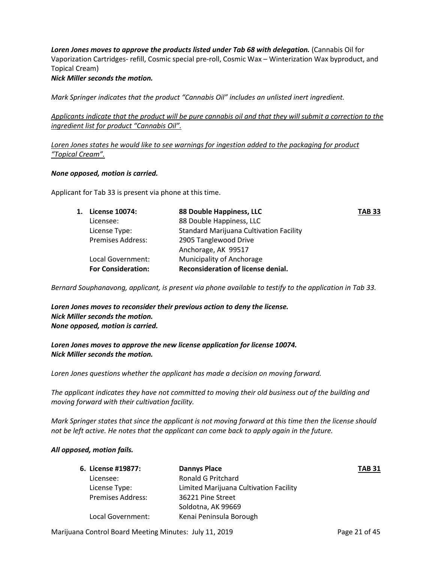*Loren Jones moves to approve the products listed under Tab 68 with delegation.* (Cannabis Oil for Vaporization Cartridges- refill, Cosmic special pre-roll, Cosmic Wax – Winterization Wax byproduct, and Topical Cream)

## *Nick Miller seconds the motion.*

*Mark Springer indicates that the product "Cannabis Oil" includes an unlisted inert ingredient.*

*Applicants indicate that the product will be pure cannabis oil and that they will submit a correction to the ingredient list for product "Cannabis Oil".*

*Loren Jones states he would like to see warnings for ingestion added to the packaging for product "Topical Cream".*

## *None opposed, motion is carried.*

Applicant for Tab 33 is present via phone at this time.

| 1. License 10074:         | 88 Double Happiness, LLC                       | <b>TAB 33</b> |
|---------------------------|------------------------------------------------|---------------|
| Licensee:                 | 88 Double Happiness, LLC                       |               |
| License Type:             | <b>Standard Marijuana Cultivation Facility</b> |               |
| <b>Premises Address:</b>  | 2905 Tanglewood Drive                          |               |
|                           | Anchorage, AK 99517                            |               |
| Local Government:         | Municipality of Anchorage                      |               |
| <b>For Consideration:</b> | Reconsideration of license denial.             |               |
|                           |                                                |               |

*Bernard Souphanavong, applicant, is present via phone available to testify to the application in Tab 33.*

*Loren Jones moves to reconsider their previous action to deny the license. Nick Miller seconds the motion. None opposed, motion is carried.*

*Loren Jones moves to approve the new license application for license 10074. Nick Miller seconds the motion.*

*Loren Jones questions whether the applicant has made a decision on moving forward.*

*The applicant indicates they have not committed to moving their old business out of the building and moving forward with their cultivation facility.*

*Mark Springer states that since the applicant is not moving forward at this time then the license should not be left active. He notes that the applicant can come back to apply again in the future.*

## *All opposed, motion fails.*

| <b>Dannys Place</b>                    | <b>TAB 31</b> |
|----------------------------------------|---------------|
| <b>Ronald G Pritchard</b>              |               |
| Limited Marijuana Cultivation Facility |               |
| 36221 Pine Street                      |               |
| Soldotna, AK 99669                     |               |
| Kenai Peninsula Borough                |               |
|                                        |               |

Marijuana Control Board Meeting Minutes: July 11, 2019 **Page 21 of 45** Page 21 of 45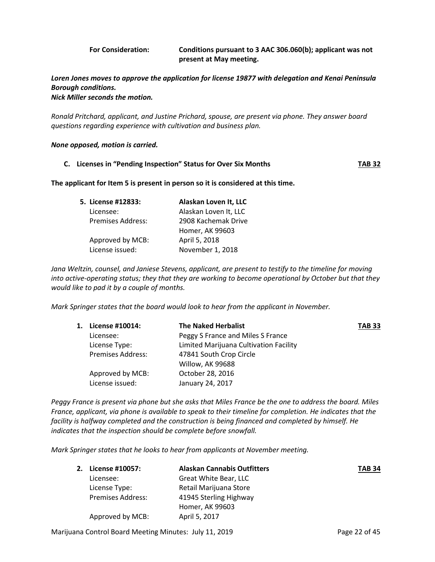| <b>For Consideration:</b> | Conditions pursuant to 3 AAC 306.060(b); applicant was not |
|---------------------------|------------------------------------------------------------|
|                           | present at May meeting.                                    |

## *Loren Jones moves to approve the application for license 19877 with delegation and Kenai Peninsula Borough conditions.*

*Nick Miller seconds the motion.*

*Ronald Pritchard, applicant, and Justine Prichard, spouse, are present via phone. They answer board questions regarding experience with cultivation and business plan.* 

#### *None opposed, motion is carried.*

**C. Licenses in "Pending Inspection" Status for Over Six Months TAB 32**

**The applicant for Item 5 is present in person so it is considered at this time.** 

| 5. License #12833:       | Alaskan Loven It, LLC |
|--------------------------|-----------------------|
| Licensee:                | Alaskan Loven It, LLC |
| <b>Premises Address:</b> | 2908 Kachemak Drive   |
|                          | Homer, AK 99603       |
| Approved by MCB:         | April 5, 2018         |
| License issued:          | November 1, 2018      |

*Jana Weltzin, counsel, and Janiese Stevens, applicant, are present to testify to the timeline for moving into active-operating status; they that they are working to become operational by October but that they would like to pad it by a couple of months.* 

*Mark Springer states that the board would look to hear from the applicant in November.*

| 1. License #10014:       | <b>The Naked Herbalist</b>             | <b>TAB 33</b> |
|--------------------------|----------------------------------------|---------------|
| Licensee:                | Peggy S France and Miles S France      |               |
| License Type:            | Limited Marijuana Cultivation Facility |               |
| <b>Premises Address:</b> | 47841 South Crop Circle                |               |
|                          | Willow, AK 99688                       |               |
| Approved by MCB:         | October 28, 2016                       |               |
| License issued:          | January 24, 2017                       |               |

*Peggy France is present via phone but she asks that Miles France be the one to address the board. Miles France, applicant, via phone is available to speak to their timeline for completion. He indicates that the facility is halfway completed and the construction is being financed and completed by himself. He indicates that the inspection should be complete before snowfall.* 

*Mark Springer states that he looks to hear from applicants at November meeting.*

| 2. | License #10057:          | <b>Alaskan Cannabis Outfitters</b> | <b>TAB 34</b> |
|----|--------------------------|------------------------------------|---------------|
|    | Licensee:                | Great White Bear, LLC              |               |
|    | License Type:            | Retail Marijuana Store             |               |
|    | <b>Premises Address:</b> | 41945 Sterling Highway             |               |
|    |                          | Homer, AK 99603                    |               |
|    | Approved by MCB:         | April 5, 2017                      |               |

Marijuana Control Board Meeting Minutes: July 11, 2019 **Page 22 of 45** Page 22 of 45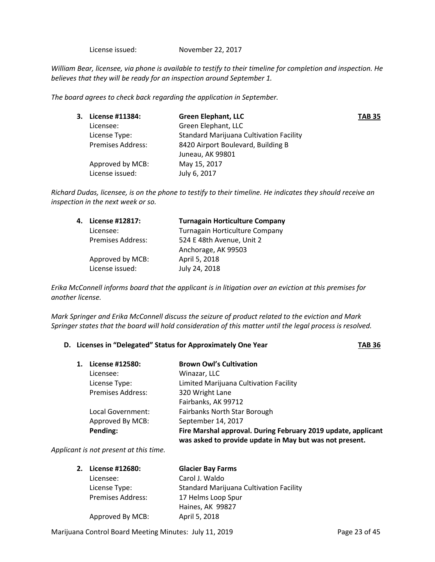License issued: November 22, 2017

*William Bear, licensee, via phone is available to testify to their timeline for completion and inspection. He believes that they will be ready for an inspection around September 1.*

*The board agrees to check back regarding the application in September.*

| 3. License #11384:       | <b>Green Elephant, LLC</b>                     | <b>TAB 35</b> |
|--------------------------|------------------------------------------------|---------------|
| Licensee:                | Green Elephant, LLC                            |               |
| License Type:            | <b>Standard Marijuana Cultivation Facility</b> |               |
| <b>Premises Address:</b> | 8420 Airport Boulevard, Building B             |               |
|                          | Juneau, AK 99801                               |               |
| Approved by MCB:         | May 15, 2017                                   |               |
| License issued:          | July 6, 2017                                   |               |

*Richard Dudas, licensee, is on the phone to testify to their timeline. He indicates they should receive an inspection in the next week or so.* 

| 4. License #12817:       | <b>Turnagain Horticulture Company</b> |
|--------------------------|---------------------------------------|
| Licensee:                | Turnagain Horticulture Company        |
| <b>Premises Address:</b> | 524 E 48th Avenue, Unit 2             |
|                          | Anchorage, AK 99503                   |
| Approved by MCB:         | April 5, 2018                         |
| License issued:          | July 24, 2018                         |

*Erika McConnell informs board that the applicant is in litigation over an eviction at this premises for another license.*

*Mark Springer and Erika McConnell discuss the seizure of product related to the eviction and Mark Springer states that the board will hold consideration of this matter until the legal process is resolved.* 

## **D.** Licenses in "Delegated" Status for Approximately One Year **TAB 36**

| 1. | License #12580:          | <b>Brown Owl's Cultivation</b>                                                                                           |
|----|--------------------------|--------------------------------------------------------------------------------------------------------------------------|
|    | Licensee:                | Winazar, LLC                                                                                                             |
|    | License Type:            | Limited Marijuana Cultivation Facility                                                                                   |
|    | <b>Premises Address:</b> | 320 Wright Lane                                                                                                          |
|    |                          | Fairbanks, AK 99712                                                                                                      |
|    | Local Government:        | <b>Fairbanks North Star Borough</b>                                                                                      |
|    | Approved By MCB:         | September 14, 2017                                                                                                       |
|    | Pending:                 | Fire Marshal approval. During February 2019 update, applicant<br>was asked to provide update in May but was not present. |

*Applicant is not present at this time.* 

| 2. License #12680:       | <b>Glacier Bay Farms</b>                       |
|--------------------------|------------------------------------------------|
| Licensee:                | Carol J. Waldo                                 |
| License Type:            | <b>Standard Marijuana Cultivation Facility</b> |
| <b>Premises Address:</b> | 17 Helms Loop Spur                             |
|                          | Haines, AK 99827                               |
| Approved By MCB:         | April 5, 2018                                  |

Marijuana Control Board Meeting Minutes: July 11, 2019 **Page 23 of 45** Page 23 of 45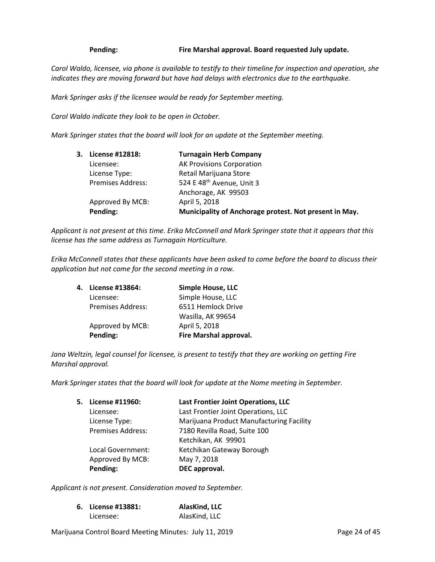## **Pending: Fire Marshal approval. Board requested July update.**

*Carol Waldo, licensee, via phone is available to testify to their timeline for inspection and operation, she indicates they are moving forward but have had delays with electronics due to the earthquake.*

*Mark Springer asks if the licensee would be ready for September meeting.*

*Carol Waldo indicate they look to be open in October.*

*Mark Springer states that the board will look for an update at the September meeting.* 

| 3. License #12818:       | <b>Turnagain Herb Company</b>                          |
|--------------------------|--------------------------------------------------------|
| Licensee:                | <b>AK Provisions Corporation</b>                       |
| License Type:            | Retail Marijuana Store                                 |
| <b>Premises Address:</b> | 524 E 48 <sup>th</sup> Avenue, Unit 3                  |
|                          | Anchorage, AK 99503                                    |
| Approved By MCB:         | April 5, 2018                                          |
| Pending:                 | Municipality of Anchorage protest. Not present in May. |

*Applicant is not present at this time. Erika McConnell and Mark Springer state that it appears that this license has the same address as Turnagain Horticulture.*

*Erika McConnell states that these applicants have been asked to come before the board to discuss their application but not come for the second meeting in a row.* 

| 4. | License #13864:   | <b>Simple House, LLC</b> |
|----|-------------------|--------------------------|
|    | Licensee:         | Simple House, LLC        |
|    | Premises Address: | 6511 Hemlock Drive       |
|    |                   | Wasilla, AK 99654        |
|    | Approved by MCB:  | April 5, 2018            |
|    | Pending:          | Fire Marshal approval.   |

*Jana Weltzin, legal counsel for licensee, is present to testify that they are working on getting Fire Marshal approval.*

*Mark Springer states that the board will look for update at the Nome meeting in September.*

| 5. | License #11960:   | Last Frontier Joint Operations, LLC      |
|----|-------------------|------------------------------------------|
|    | Licensee:         | Last Frontier Joint Operations, LLC      |
|    | License Type:     | Marijuana Product Manufacturing Facility |
|    | Premises Address: | 7180 Revilla Road, Suite 100             |
|    |                   | Ketchikan, AK 99901                      |
|    | Local Government: | Ketchikan Gateway Borough                |
|    | Approved By MCB:  | May 7, 2018                              |
|    | Pending:          | DEC approval.                            |

*Applicant is not present. Consideration moved to September.*

| 6. License #13881: | AlasKind, LLC |
|--------------------|---------------|
| Licensee:          | AlasKind, LLC |

Marijuana Control Board Meeting Minutes: July 11, 2019 **Page 24 of 45** Page 24 of 45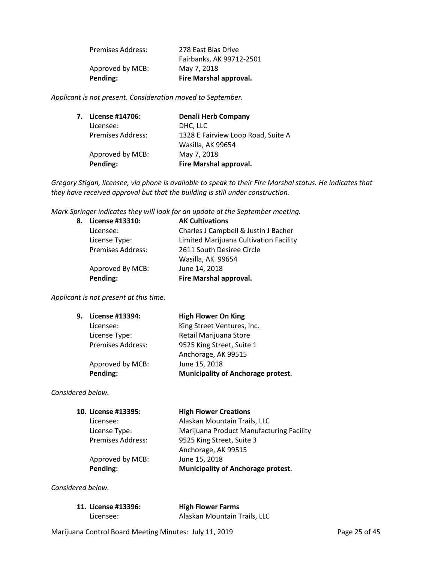| Pending:          | Fire Marshal approval.   |
|-------------------|--------------------------|
| Approved by MCB:  | May 7, 2018              |
|                   | Fairbanks, AK 99712-2501 |
| Premises Address: | 278 East Bias Drive      |

*Applicant is not present. Consideration moved to September.*

| 7. License #14706:       | <b>Denali Herb Company</b>         |
|--------------------------|------------------------------------|
| Licensee:                | DHC, LLC                           |
| <b>Premises Address:</b> | 1328 E Fairview Loop Road, Suite A |
|                          | Wasilla, AK 99654                  |
| Approved by MCB:         | May 7, 2018                        |
| Pending:                 | Fire Marshal approval.             |

*Gregory Stigan, licensee, via phone is available to speak to their Fire Marshal status. He indicates that they have received approval but that the building is still under construction.*

*Mark Springer indicates they will look for an update at the September meeting.*

| 8. | License #13310:          | <b>AK Cultivations</b>                 |
|----|--------------------------|----------------------------------------|
|    | Licensee:                | Charles J Campbell & Justin J Bacher   |
|    | License Type:            | Limited Marijuana Cultivation Facility |
|    | <b>Premises Address:</b> | 2611 South Desiree Circle              |
|    |                          | Wasilla, AK 99654                      |
|    | Approved By MCB:         | June 14, 2018                          |
|    | Pending:                 | Fire Marshal approval.                 |
|    |                          |                                        |

*Applicant is not present at this time.* 

| 9. | License #13394:   | <b>High Flower On King</b>                |
|----|-------------------|-------------------------------------------|
|    | Licensee:         | King Street Ventures, Inc.                |
|    | License Type:     | Retail Marijuana Store                    |
|    | Premises Address: | 9525 King Street, Suite 1                 |
|    |                   | Anchorage, AK 99515                       |
|    | Approved by MCB:  | June 15, 2018                             |
|    | Pending:          | <b>Municipality of Anchorage protest.</b> |

*Considered below.*

| Alaskan Mountain Trails, LLC<br>Licensee:                 |  |
|-----------------------------------------------------------|--|
| Marijuana Product Manufacturing Facility<br>License Type: |  |
| <b>Premises Address:</b><br>9525 King Street, Suite 3     |  |
| Anchorage, AK 99515                                       |  |
| Approved by MCB:<br>June 15, 2018                         |  |
| Pending:<br><b>Municipality of Anchorage protest.</b>     |  |

*Considered below.*

| 11. License #13396: | <b>High Flower Farms</b>     |
|---------------------|------------------------------|
| Licensee:           | Alaskan Mountain Trails, LLC |

Marijuana Control Board Meeting Minutes: July 11, 2019 **Page 25 of 45** Page 25 of 45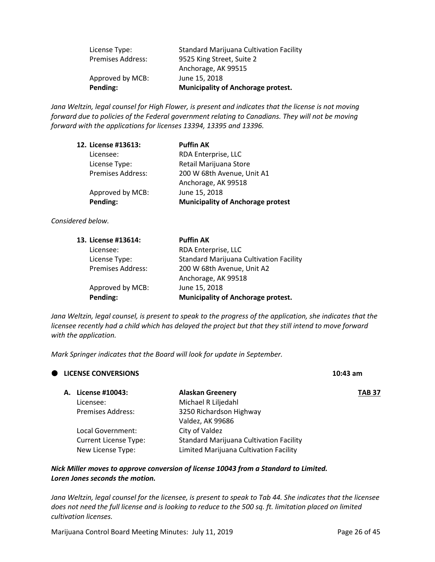| Pending:                 | <b>Municipality of Anchorage protest.</b>      |
|--------------------------|------------------------------------------------|
| Approved by MCB:         | June 15, 2018                                  |
|                          | Anchorage, AK 99515                            |
| <b>Premises Address:</b> | 9525 King Street, Suite 2                      |
| License Type:            | <b>Standard Marijuana Cultivation Facility</b> |

*Jana Weltzin, legal counsel for High Flower, is present and indicates that the license is not moving forward due to policies of the Federal government relating to Canadians. They will not be moving forward with the applications for licenses 13394, 13395 and 13396.*

| 12. License #13613:      | <b>Puffin AK</b>                         |
|--------------------------|------------------------------------------|
| Licensee:                | RDA Enterprise, LLC                      |
| License Type:            | Retail Marijuana Store                   |
| <b>Premises Address:</b> | 200 W 68th Avenue, Unit A1               |
|                          | Anchorage, AK 99518                      |
| Approved by MCB:         | June 15, 2018                            |
| Pending:                 | <b>Municipality of Anchorage protest</b> |

*Considered below.* 

| 13. License #13614:      | <b>Puffin AK</b>                               |
|--------------------------|------------------------------------------------|
| Licensee:                | RDA Enterprise, LLC                            |
| License Type:            | <b>Standard Marijuana Cultivation Facility</b> |
| <b>Premises Address:</b> | 200 W 68th Avenue, Unit A2                     |
|                          | Anchorage, AK 99518                            |
| Approved by MCB:         | June 15, 2018                                  |
| Pending:                 | <b>Municipality of Anchorage protest.</b>      |

*Jana Weltzin, legal counsel, is present to speak to the progress of the application, she indicates that the licensee recently had a child which has delayed the project but that they still intend to move forward with the application.*

*Mark Springer indicates that the Board will look for update in September.*

| $\bullet$ |    | <b>LICENSE CONVERSIONS</b>   |                                                | $10:43$ am    |
|-----------|----|------------------------------|------------------------------------------------|---------------|
|           | А. | License #10043:              | <b>Alaskan Greenery</b>                        | <b>TAB 37</b> |
|           |    | Licensee:                    | Michael R Liljedahl                            |               |
|           |    | <b>Premises Address:</b>     | 3250 Richardson Highway                        |               |
|           |    |                              | Valdez, AK 99686                               |               |
|           |    | Local Government:            | City of Valdez                                 |               |
|           |    | <b>Current License Type:</b> | <b>Standard Marijuana Cultivation Facility</b> |               |
|           |    | New License Type:            | Limited Marijuana Cultivation Facility         |               |
|           |    |                              |                                                |               |

## *Nick Miller moves to approve conversion of license 10043 from a Standard to Limited. Loren Jones seconds the motion.*

*Jana Weltzin, legal counsel for the licensee, is present to speak to Tab 44. She indicates that the licensee does not need the full license and is looking to reduce to the 500 sq. ft. limitation placed on limited cultivation licenses.*

Marijuana Control Board Meeting Minutes: July 11, 2019 **Page 26 of 45** Page 26 of 45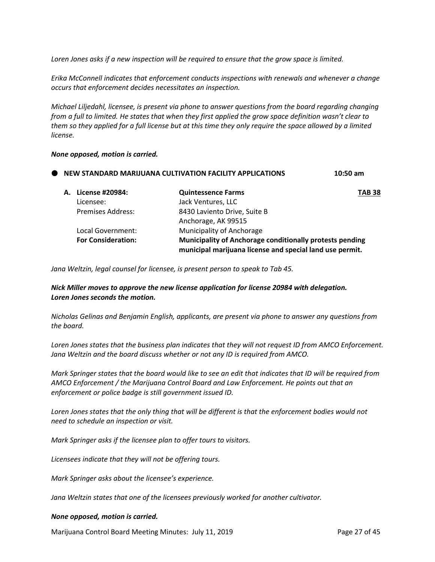*Loren Jones asks if a new inspection will be required to ensure that the grow space is limited.*

*Erika McConnell indicates that enforcement conducts inspections with renewals and whenever a change occurs that enforcement decides necessitates an inspection.*

*Michael Liljedahl, licensee, is present via phone to answer questions from the board regarding changing from a full to limited. He states that when they first applied the grow space definition wasn't clear to them so they applied for a full license but at this time they only require the space allowed by a limited license.* 

## *None opposed, motion is carried.*

| $\bullet$ |    | NEW STANDARD MARIJUANA CULTIVATION FACILITY APPLICATIONS |                                                                                                                      | $10:50$ am    |
|-----------|----|----------------------------------------------------------|----------------------------------------------------------------------------------------------------------------------|---------------|
|           | А. | License #20984:                                          | <b>Quintessence Farms</b>                                                                                            | <b>TAB 38</b> |
|           |    | Licensee:                                                | Jack Ventures, LLC                                                                                                   |               |
|           |    | Premises Address:                                        | 8430 Laviento Drive, Suite B                                                                                         |               |
|           |    |                                                          | Anchorage, AK 99515                                                                                                  |               |
|           |    | Local Government:                                        | Municipality of Anchorage                                                                                            |               |
|           |    | <b>For Consideration:</b>                                | Municipality of Anchorage conditionally protests pending<br>municipal marijuana license and special land use permit. |               |

*Jana Weltzin, legal counsel for licensee, is present person to speak to Tab 45.*

*Nick Miller moves to approve the new license application for license 20984 with delegation. Loren Jones seconds the motion.*

*Nicholas Gelinas and Benjamin English, applicants, are present via phone to answer any questions from the board.*

*Loren Jones states that the business plan indicates that they will not request ID from AMCO Enforcement. Jana Weltzin and the board discuss whether or not any ID is required from AMCO.* 

*Mark Springer states that the board would like to see an edit that indicates that ID will be required from AMCO Enforcement / the Marijuana Control Board and Law Enforcement. He points out that an enforcement or police badge is still government issued ID.* 

Loren Jones states that the only thing that will be different is that the enforcement bodies would not *need to schedule an inspection or visit.* 

*Mark Springer asks if the licensee plan to offer tours to visitors.*

*Licensees indicate that they will not be offering tours.*

*Mark Springer asks about the licensee's experience.*

*Jana Weltzin states that one of the licensees previously worked for another cultivator.*

## *None opposed, motion is carried.*

Marijuana Control Board Meeting Minutes: July 11, 2019 **Page 27 of 45** Page 27 of 45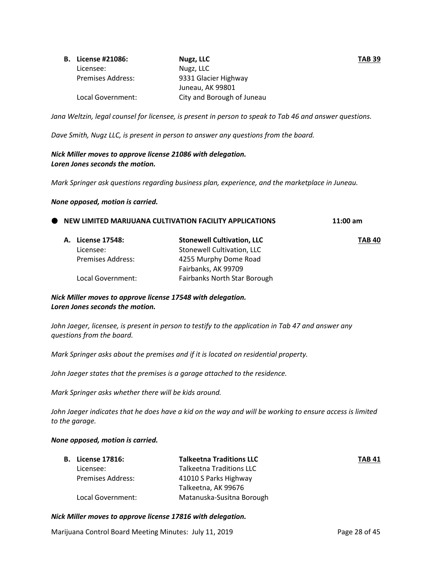| <b>B.</b> License #21086: | Nugz, LLC                  | <b>TAB 39</b> |
|---------------------------|----------------------------|---------------|
| Licensee:                 | Nugz, LLC                  |               |
| <b>Premises Address:</b>  | 9331 Glacier Highway       |               |
|                           | Juneau, AK 99801           |               |
| Local Government:         | City and Borough of Juneau |               |

*Jana Weltzin, legal counsel for licensee, is present in person to speak to Tab 46 and answer questions.*

*Dave Smith, Nugz LLC, is present in person to answer any questions from the board.*

## *Nick Miller moves to approve license 21086 with delegation. Loren Jones seconds the motion.*

*Mark Springer ask questions regarding business plan, experience, and the marketplace in Juneau.*

## *None opposed, motion is carried.*

|                          |                                              | $11:00 \text{ am}$                                      |
|--------------------------|----------------------------------------------|---------------------------------------------------------|
| License 17548:<br>А.     | <b>Stonewell Cultivation, LLC</b>            | <b>TAB 40</b>                                           |
| Licensee:                | <b>Stonewell Cultivation, LLC</b>            |                                                         |
| <b>Premises Address:</b> | 4255 Murphy Dome Road<br>Fairbanks, AK 99709 |                                                         |
|                          |                                              | NEW LIMITED MARIJUANA CULTIVATION FACILITY APPLICATIONS |

## *Nick Miller moves to approve license 17548 with delegation. Loren Jones seconds the motion.*

*John Jaeger, licensee, is present in person to testify to the application in Tab 47 and answer any questions from the board.*

*Mark Springer asks about the premises and if it is located on residential property.*

Local Government: Fairbanks North Star Borough

*John Jaeger states that the premises is a garage attached to the residence.* 

*Mark Springer asks whether there will be kids around.*

John Jaeger indicates that he does have a kid on the way and will be working to ensure access is limited *to the garage.*

#### *None opposed, motion is carried.*

| <b>B.</b> License 17816: | <b>Talkeetna Traditions LLC</b> | TAB 41 |
|--------------------------|---------------------------------|--------|
| Licensee:                | <b>Talkeetna Traditions LLC</b> |        |
| Premises Address:        | 41010 S Parks Highway           |        |
|                          | Talkeetna, AK 99676             |        |
| Local Government:        | Matanuska-Susitna Borough       |        |

#### *Nick Miller moves to approve license 17816 with delegation.*

Marijuana Control Board Meeting Minutes: July 11, 2019 **Page 28 of 45** Page 28 of 45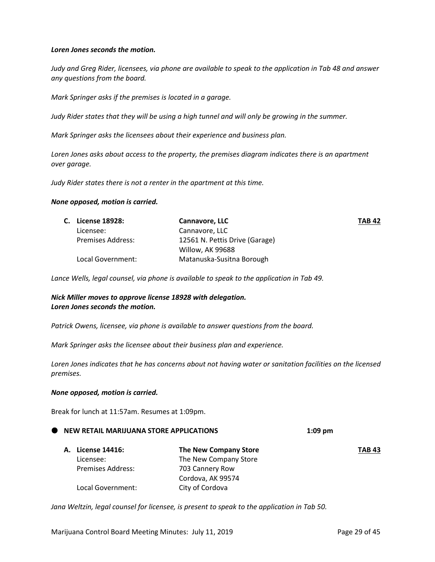#### *Loren Jones seconds the motion.*

*Judy and Greg Rider, licensees, via phone are available to speak to the application in Tab 48 and answer any questions from the board.*

*Mark Springer asks if the premises is located in a garage.*

*Judy Rider states that they will be using a high tunnel and will only be growing in the summer.*

*Mark Springer asks the licensees about their experience and business plan.*

*Loren Jones asks about access to the property, the premises diagram indicates there is an apartment over garage.*

*Judy Rider states there is not a renter in the apartment at this time.* 

#### *None opposed, motion is carried.*

| C. License 18928:        | <b>Cannavore, LLC</b>          | <b>TAB 42</b> |
|--------------------------|--------------------------------|---------------|
| Licensee:                | Cannavore, LLC                 |               |
| <b>Premises Address:</b> | 12561 N. Pettis Drive (Garage) |               |
|                          | Willow, AK 99688               |               |
| Local Government:        | Matanuska-Susitna Borough      |               |

*Lance Wells, legal counsel, via phone is available to speak to the application in Tab 49.*

## *Nick Miller moves to approve license 18928 with delegation. Loren Jones seconds the motion.*

*Patrick Owens, licensee, via phone is available to answer questions from the board.*

*Mark Springer asks the licensee about their business plan and experience.*

*Loren Jones indicates that he has concerns about not having water or sanitation facilities on the licensed premises.*

#### *None opposed, motion is carried.*

Break for lunch at 11:57am. Resumes at 1:09pm.

#### **NEW RETAIL MARIJUANA STORE APPLICATIONS 1:09 pm**

**A. License 14416: The New Company Store TAB 43** Licensee: The New Company Store Premises Address: 703 Cannery Row Cordova, AK 99574 Local Government: City of Cordova

*Jana Weltzin, legal counsel for licensee, is present to speak to the application in Tab 50.*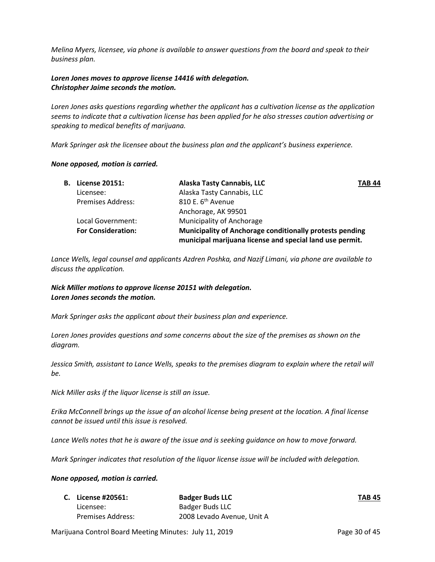*Melina Myers, licensee, via phone is available to answer questions from the board and speak to their business plan.*

## *Loren Jones moves to approve license 14416 with delegation. Christopher Jaime seconds the motion.*

*Loren Jones asks questions regarding whether the applicant has a cultivation license as the application seems to indicate that a cultivation license has been applied for he also stresses caution advertising or speaking to medical benefits of marijuana.*

*Mark Springer ask the licensee about the business plan and the applicant's business experience.*

## *None opposed, motion is carried.*

| <b>B.</b> License 20151:  | <b>Alaska Tasty Cannabis, LLC</b>                                                                                           | <b>TAB 44</b> |
|---------------------------|-----------------------------------------------------------------------------------------------------------------------------|---------------|
| Licensee:                 | Alaska Tasty Cannabis, LLC                                                                                                  |               |
| <b>Premises Address:</b>  | 810 E. $6th$ Avenue                                                                                                         |               |
|                           | Anchorage, AK 99501                                                                                                         |               |
| Local Government:         | <b>Municipality of Anchorage</b>                                                                                            |               |
| <b>For Consideration:</b> | <b>Municipality of Anchorage conditionally protests pending</b><br>municipal marijuana license and special land use permit. |               |

*Lance Wells, legal counsel and applicants Azdren Poshka, and Nazif Limani, via phone are available to discuss the application.*

## *Nick Miller motions to approve license 20151 with delegation. Loren Jones seconds the motion.*

*Mark Springer asks the applicant about their business plan and experience.*

*Loren Jones provides questions and some concerns about the size of the premises as shown on the diagram.*

*Jessica Smith, assistant to Lance Wells, speaks to the premises diagram to explain where the retail will be.*

*Nick Miller asks if the liquor license is still an issue.*

*Erika McConnell brings up the issue of an alcohol license being present at the location. A final license cannot be issued until this issue is resolved.*

*Lance Wells notes that he is aware of the issue and is seeking guidance on how to move forward.*

*Mark Springer indicates that resolution of the liquor license issue will be included with delegation.*

#### *None opposed, motion is carried.*

| C. License #20561: | <b>Badger Buds LLC</b>     | <b>TAB 45</b> |
|--------------------|----------------------------|---------------|
| Licensee:          | Badger Buds LLC            |               |
| Premises Address:  | 2008 Levado Avenue, Unit A |               |

Marijuana Control Board Meeting Minutes: July 11, 2019 **Page 30 of 45** Page 30 of 45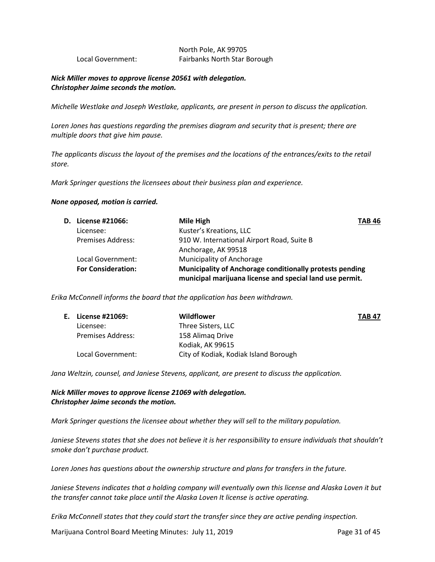## North Pole, AK 99705 Local Government: Fairbanks North Star Borough

*Nick Miller moves to approve license 20561 with delegation. Christopher Jaime seconds the motion.*

*Michelle Westlake and Joseph Westlake, applicants, are present in person to discuss the application.*

*Loren Jones has questions regarding the premises diagram and security that is present; there are multiple doors that give him pause.*

*The applicants discuss the layout of the premises and the locations of the entrances/exits to the retail store.* 

*Mark Springer questions the licensees about their business plan and experience.*

#### *None opposed, motion is carried.*

| <b>D.</b> License #21066: | Mile High<br><b>TAB 46</b>                                                                                           |  |
|---------------------------|----------------------------------------------------------------------------------------------------------------------|--|
| Licensee:                 | Kuster's Kreations, LLC                                                                                              |  |
| <b>Premises Address:</b>  | 910 W. International Airport Road, Suite B                                                                           |  |
|                           | Anchorage, AK 99518                                                                                                  |  |
| Local Government:         | <b>Municipality of Anchorage</b>                                                                                     |  |
| <b>For Consideration:</b> | Municipality of Anchorage conditionally protests pending<br>municipal marijuana license and special land use permit. |  |

*Erika McConnell informs the board that the application has been withdrawn.*

| E. License #21069:       | <b>Wildflower</b>                     | <b>TAB 47</b> |
|--------------------------|---------------------------------------|---------------|
| Licensee:                | Three Sisters, LLC                    |               |
| <b>Premises Address:</b> | 158 Alimag Drive                      |               |
|                          | Kodiak. AK 99615                      |               |
| Local Government:        | City of Kodiak, Kodiak Island Borough |               |

*Jana Weltzin, counsel, and Janiese Stevens, applicant, are present to discuss the application.*

## *Nick Miller moves to approve license 21069 with delegation. Christopher Jaime seconds the motion.*

*Mark Springer questions the licensee about whether they will sell to the military population.*

Janiese Stevens states that she does not believe it is her responsibility to ensure individuals that shouldn't *smoke don't purchase product.*

*Loren Jones has questions about the ownership structure and plans for transfers in the future.*

*Janiese Stevens indicates that a holding company will eventually own this license and Alaska Loven it but the transfer cannot take place until the Alaska Loven It license is active operating.*

*Erika McConnell states that they could start the transfer since they are active pending inspection.*

Marijuana Control Board Meeting Minutes: July 11, 2019 **Page 31 of 45** Page 31 of 45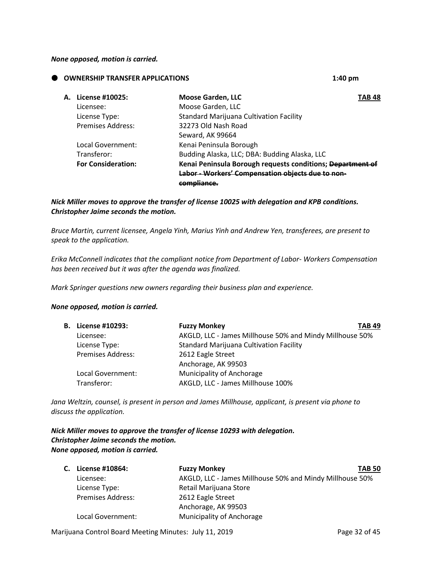#### *None opposed, motion is carried.*

| <b>OWNERSHIP TRANSFER APPLICATIONS</b> |                           |                                                         | $1:40 \text{ pm}$ |  |
|----------------------------------------|---------------------------|---------------------------------------------------------|-------------------|--|
|                                        | License #10025:           | <b>Moose Garden, LLC</b>                                | TAB 48            |  |
|                                        | Licensee:                 | Moose Garden, LLC                                       |                   |  |
|                                        | License Type:             | <b>Standard Marijuana Cultivation Facility</b>          |                   |  |
|                                        | <b>Premises Address:</b>  | 32273 Old Nash Road                                     |                   |  |
|                                        |                           | Seward, AK 99664                                        |                   |  |
|                                        | Local Government:         | Kenai Peninsula Borough                                 |                   |  |
|                                        | Transferor:               | Budding Alaska, LLC; DBA: Budding Alaska, LLC           |                   |  |
|                                        | <b>For Consideration:</b> | Kenai Peninsula Borough requests conditions; Department |                   |  |
|                                        |                           | Labor - Workers' Compensation obiects due to non-       |                   |  |
|                                        |                           |                                                         |                   |  |
|                                        |                           |                                                         |                   |  |

## *Nick Miller moves to approve the transfer of license 10025 with delegation and KPB conditions. Christopher Jaime seconds the motion.*

*Bruce Martin, current licensee, Angela Yinh, Marius Yinh and Andrew Yen, transferees, are present to speak to the application.*

*Erika McConnell indicates that the compliant notice from Department of Labor- Workers Compensation has been received but it was after the agenda was finalized.*

*Mark Springer questions new owners regarding their business plan and experience.*

#### *None opposed, motion is carried.*

| В. | License #10293:          | <b>Fuzzy Monkey</b>                                      | <b>TAB 49</b> |
|----|--------------------------|----------------------------------------------------------|---------------|
|    | Licensee:                | AKGLD, LLC - James Millhouse 50% and Mindy Millhouse 50% |               |
|    | License Type:            | <b>Standard Marijuana Cultivation Facility</b>           |               |
|    | <b>Premises Address:</b> | 2612 Eagle Street                                        |               |
|    |                          | Anchorage, AK 99503                                      |               |
|    | Local Government:        | Municipality of Anchorage                                |               |
|    | Transferor:              | AKGLD, LLC - James Millhouse 100%                        |               |
|    |                          |                                                          |               |

*Jana Weltzin, counsel, is present in person and James Millhouse, applicant, is present via phone to discuss the application.*

*Nick Miller moves to approve the transfer of license 10293 with delegation. Christopher Jaime seconds the motion. None opposed, motion is carried.*

| C. License #10864:       | <b>Fuzzy Monkey</b><br><b>TAB 50</b>                     |  |
|--------------------------|----------------------------------------------------------|--|
| Licensee:                | AKGLD, LLC - James Millhouse 50% and Mindy Millhouse 50% |  |
| License Type:            | Retail Marijuana Store                                   |  |
| <b>Premises Address:</b> | 2612 Eagle Street                                        |  |
|                          | Anchorage, AK 99503                                      |  |
| Local Government:        | <b>Municipality of Anchorage</b>                         |  |
|                          |                                                          |  |

Marijuana Control Board Meeting Minutes: July 11, 2019 **Page 32 of 45** Page 32 of 45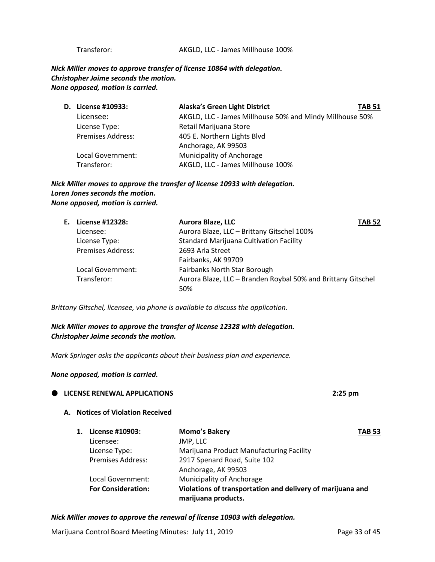Transferor: AKGLD, LLC - James Millhouse 100%

*Nick Miller moves to approve transfer of license 10864 with delegation. Christopher Jaime seconds the motion. None opposed, motion is carried.*

| D. License #10933:       | <b>Alaska's Green Light District</b>                     | <b>TAB 51</b> |
|--------------------------|----------------------------------------------------------|---------------|
| Licensee:                | AKGLD, LLC - James Millhouse 50% and Mindy Millhouse 50% |               |
| License Type:            | Retail Marijuana Store                                   |               |
| <b>Premises Address:</b> | 405 E. Northern Lights Blvd                              |               |
|                          | Anchorage, AK 99503                                      |               |
| Local Government:        | Municipality of Anchorage                                |               |
| Transferor:              | AKGLD, LLC - James Millhouse 100%                        |               |

*Nick Miller moves to approve the transfer of license 10933 with delegation. Loren Jones seconds the motion. None opposed, motion is carried.*

| E. License #12328:       | <b>Aurora Blaze, LLC</b>                       | <b>TAB 52</b>                                                |
|--------------------------|------------------------------------------------|--------------------------------------------------------------|
| Licensee:                | Aurora Blaze, LLC - Brittany Gitschel 100%     |                                                              |
| License Type:            | <b>Standard Marijuana Cultivation Facility</b> |                                                              |
| <b>Premises Address:</b> | 2693 Arla Street                               |                                                              |
|                          | Fairbanks, AK 99709                            |                                                              |
| Local Government:        | Fairbanks North Star Borough                   |                                                              |
| Transferor:              |                                                |                                                              |
|                          | 50%                                            |                                                              |
|                          |                                                | Aurora Blaze, LLC - Branden Roybal 50% and Brittany Gitschel |

*Brittany Gitschel, licensee, via phone is available to discuss the application.*

*Nick Miller moves to approve the transfer of license 12328 with delegation. Christopher Jaime seconds the motion.*

*Mark Springer asks the applicants about their business plan and experience.*

*None opposed, motion is carried.*

#### **LICENSE RENEWAL APPLICATIONS 2:25 pm**

#### **A. Notices of Violation Received**

| 1. | License #10903:           | Momo's Bakery                                              | <b>TAB 53</b> |
|----|---------------------------|------------------------------------------------------------|---------------|
|    | Licensee:                 | JMP, LLC                                                   |               |
|    | License Type:             | Marijuana Product Manufacturing Facility                   |               |
|    | <b>Premises Address:</b>  | 2917 Spenard Road, Suite 102                               |               |
|    |                           | Anchorage, AK 99503                                        |               |
|    | Local Government:         | Municipality of Anchorage                                  |               |
|    | <b>For Consideration:</b> | Violations of transportation and delivery of marijuana and |               |
|    |                           | marijuana products.                                        |               |

*Nick Miller moves to approve the renewal of license 10903 with delegation.*

Marijuana Control Board Meeting Minutes: July 11, 2019 **Page 33 of 45** Page 33 of 45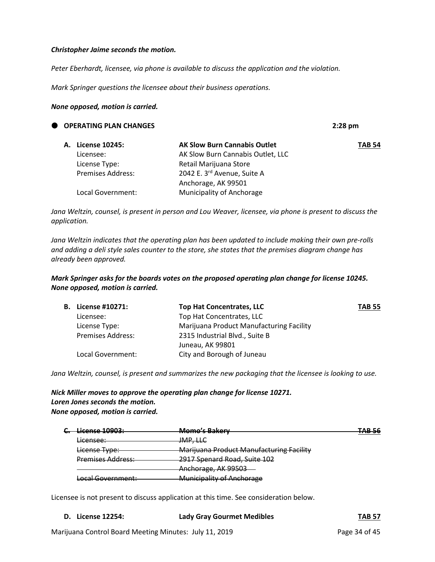#### *Christopher Jaime seconds the motion.*

*Peter Eberhardt, licensee, via phone is available to discuss the application and the violation.*

*Mark Springer questions the licensee about their business operations.*

#### *None opposed, motion is carried.*

| O OPERATING PLAN CHANGES |                                     |               |
|--------------------------|-------------------------------------|---------------|
| A. License 10245:        | <b>AK Slow Burn Cannabis Outlet</b> | <b>TAB 54</b> |
| Licensee:                | AK Slow Burn Cannabis Outlet, LLC   |               |
| License Type:            | Retail Marijuana Store              |               |
| <b>Premises Address:</b> | 2042 E. 3rd Avenue, Suite A         |               |
|                          | Anchorage, AK 99501                 |               |
| Local Government:        | Municipality of Anchorage           |               |
|                          |                                     |               |

*Jana Weltzin, counsel, is present in person and Lou Weaver, licensee, via phone is present to discuss the application.*

*Jana Weltzin indicates that the operating plan has been updated to include making their own pre-rolls and adding a deli style sales counter to the store, she states that the premises diagram change has already been approved.*

*Mark Springer asks for the boards votes on the proposed operating plan change for license 10245. None opposed, motion is carried.*

| <b>B.</b> License #10271: | <b>Top Hat Concentrates, LLC</b>         | <b>TAB 55</b> |
|---------------------------|------------------------------------------|---------------|
| Licensee:                 | Top Hat Concentrates, LLC                |               |
| License Type:             | Marijuana Product Manufacturing Facility |               |
| <b>Premises Address:</b>  | 2315 Industrial Blvd., Suite B           |               |
|                           | Juneau, AK 99801                         |               |
| Local Government:         | City and Borough of Juneau               |               |
|                           |                                          |               |

*Jana Weltzin, counsel, is present and summarizes the new packaging that the licensee is looking to use.*

*Nick Miller moves to approve the operating plan change for license 10271. Loren Jones seconds the motion. None opposed, motion is carried.*

| <b>License 10903:</b>                           | Momo's Bakery                                   | TAR 56 |
|-------------------------------------------------|-------------------------------------------------|--------|
| Licensee:                                       | <del>JMP, LLC</del>                             |        |
| License Type:                                   | <b>Marijuana Product Manufacturing Facility</b> |        |
| <b>Premises Address:</b>                        | 2917 Spenard Road, Suite 102                    |        |
|                                                 | Anchorage, AK 99503                             |        |
| ocal Government:<br><del>Locar oovermnem.</del> | <b>Municipality of Anchorage</b>                |        |
|                                                 |                                                 |        |

Licensee is not present to discuss application at this time. See consideration below.

**D. License 12254: Lady Gray Gourmet Medibles TAB 57**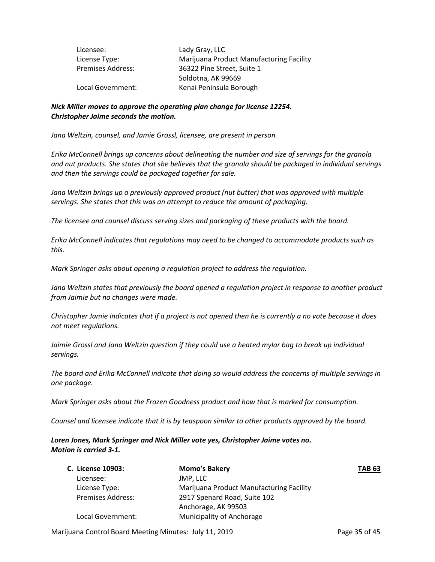| Licensee:                | Lady Gray, LLC                           |
|--------------------------|------------------------------------------|
| License Type:            | Marijuana Product Manufacturing Facility |
| <b>Premises Address:</b> | 36322 Pine Street, Suite 1               |
|                          | Soldotna, AK 99669                       |
| Local Government:        | Kenai Peninsula Borough                  |

## *Nick Miller moves to approve the operating plan change for license 12254. Christopher Jaime seconds the motion.*

*Jana Weltzin, counsel, and Jamie Grossl, licensee, are present in person.*

*Erika McConnell brings up concerns about delineating the number and size of servings for the granola and nut products. She states that she believes that the granola should be packaged in individual servings and then the servings could be packaged together for sale.* 

*Jana Weltzin brings up a previously approved product (nut butter) that was approved with multiple servings. She states that this was an attempt to reduce the amount of packaging.* 

*The licensee and counsel discuss serving sizes and packaging of these products with the board.*

*Erika McConnell indicates that regulations may need to be changed to accommodate products such as this.*

*Mark Springer asks about opening a regulation project to address the regulation.*

*Jana Weltzin states that previously the board opened a regulation project in response to another product from Jaimie but no changes were made.*

*Christopher Jamie indicates that if a project is not opened then he is currently a no vote because it does not meet regulations.*

*Jaimie Grossl and Jana Weltzin question if they could use a heated mylar bag to break up individual servings.*

*The board and Erika McConnell indicate that doing so would address the concerns of multiple servings in one package.*

*Mark Springer asks about the Frozen Goodness product and how that is marked for consumption.*

*Counsel and licensee indicate that it is by teaspoon similar to other products approved by the board.*

*Loren Jones, Mark Springer and Nick Miller vote yes, Christopher Jaime votes no. Motion is carried 3-1.*

| C. License 10903:        | <b>Momo's Bakery</b>                     | <b>TAB 63</b> |
|--------------------------|------------------------------------------|---------------|
| Licensee:                | JMP, LLC                                 |               |
| License Type:            | Marijuana Product Manufacturing Facility |               |
| <b>Premises Address:</b> | 2917 Spenard Road, Suite 102             |               |
|                          | Anchorage, AK 99503                      |               |
| Local Government:        | <b>Municipality of Anchorage</b>         |               |

Marijuana Control Board Meeting Minutes: July 11, 2019 **Page 35 of 45** Page 35 of 45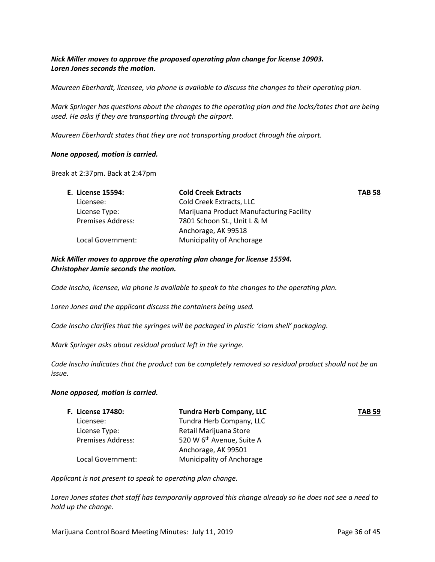## *Nick Miller moves to approve the proposed operating plan change for license 10903. Loren Jones seconds the motion.*

*Maureen Eberhardt, licensee, via phone is available to discuss the changes to their operating plan.*

*Mark Springer has questions about the changes to the operating plan and the locks/totes that are being used. He asks if they are transporting through the airport.*

*Maureen Eberhardt states that they are not transporting product through the airport.*

#### *None opposed, motion is carried.*

Break at 2:37pm. Back at 2:47pm

| E. License 15594:        | <b>Cold Creek Extracts</b>               | <b>TAB 58</b> |
|--------------------------|------------------------------------------|---------------|
| Licensee:                | Cold Creek Extracts, LLC                 |               |
| License Type:            | Marijuana Product Manufacturing Facility |               |
| <b>Premises Address:</b> | 7801 Schoon St., Unit L & M              |               |
|                          | Anchorage, AK 99518                      |               |
| Local Government:        | Municipality of Anchorage                |               |

## *Nick Miller moves to approve the operating plan change for license 15594. Christopher Jamie seconds the motion.*

*Cade Inscho, licensee, via phone is available to speak to the changes to the operating plan.* 

*Loren Jones and the applicant discuss the containers being used.*

*Cade Inscho clarifies that the syringes will be packaged in plastic 'clam shell' packaging.*

*Mark Springer asks about residual product left in the syringe.*

*Cade Inscho indicates that the product can be completely removed so residual product should not be an issue.*

#### *None opposed, motion is carried.*

| F. License 17480:        | <b>Tundra Herb Company, LLC</b>       | <b>TAB 59</b> |
|--------------------------|---------------------------------------|---------------|
| Licensee:                | Tundra Herb Company, LLC              |               |
| License Type:            | Retail Marijuana Store                |               |
| <b>Premises Address:</b> | 520 W 6 <sup>th</sup> Avenue, Suite A |               |
|                          | Anchorage, AK 99501                   |               |
| Local Government:        | Municipality of Anchorage             |               |

*Applicant is not present to speak to operating plan change.*

*Loren Jones states that staff has temporarily approved this change already so he does not see a need to hold up the change.*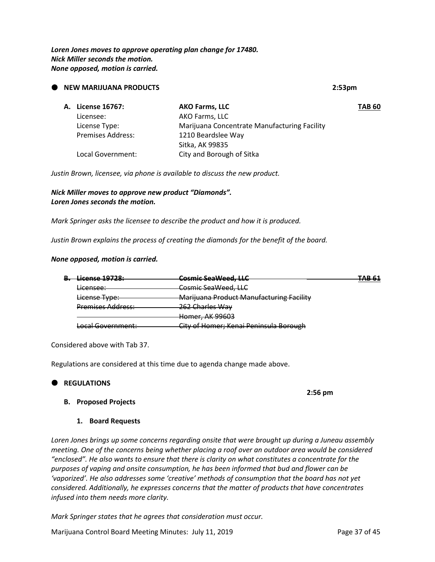*Loren Jones moves to approve operating plan change for 17480. Nick Miller seconds the motion. None opposed, motion is carried.*

|  | <b>NEW MARIJUANA PRODUCTS</b> |                                                                            | 2:53 <sub>pm</sub> |
|--|-------------------------------|----------------------------------------------------------------------------|--------------------|
|  | A. License 16767:             | <b>AKO Farms, LLC</b>                                                      | <b>TAB 60</b>      |
|  | Licensee:                     | AKO Farms, LLC                                                             |                    |
|  | License Type:                 | Marijuana Concentrate Manufacturing Facility                               |                    |
|  | <b>Premises Address:</b>      | 1210 Beardslee Way                                                         |                    |
|  |                               | Sitka, AK 99835                                                            |                    |
|  | Local Government:             | City and Borough of Sitka                                                  |                    |
|  |                               | Justin Brown, licensee, via phone is available to discuss the new product. |                    |

*Nick Miller moves to approve new product "Diamonds". Loren Jones seconds the motion.*

*Mark Springer asks the licensee to describe the product and how it is produced.*

*Justin Brown explains the process of creating the diamonds for the benefit of the board.*

#### *None opposed, motion is carried.*

| <del>License 19728:</del>                       | Cosmic SaalMood LLC<br><del>comme scawccu, LLC</del> | TAR 61<br><del>no vi</del> |
|-------------------------------------------------|------------------------------------------------------|----------------------------|
| <del>Licensee:</del>                            | Cosmic SeaWeed, LLC                                  |                            |
| License Type:                                   | <b>Marijuana Product Manufacturing Facility</b>      |                            |
| <b>Premises Address:</b>                        | 262 Charles Way                                      |                            |
|                                                 | <del>Homer, AK 99603</del>                           |                            |
| acal Government:<br><del>Locar oovermnem.</del> | City of Homer; Kenai Peninsula Borough               |                            |

Considered above with Tab 37.

Regulations are considered at this time due to agenda change made above.

#### **REGULATIONS**

**2:56 pm**

#### **B. Proposed Projects**

#### **1. Board Requests**

*Loren Jones brings up some concerns regarding onsite that were brought up during a Juneau assembly meeting. One of the concerns being whether placing a roof over an outdoor area would be considered "enclosed". He also wants to ensure that there is clarity on what constitutes a concentrate for the purposes of vaping and onsite consumption, he has been informed that bud and flower can be 'vaporized'. He also addresses some 'creative' methods of consumption that the board has not yet considered. Additionally, he expresses concerns that the matter of products that have concentrates infused into them needs more clarity.* 

*Mark Springer states that he agrees that consideration must occur.* 

Marijuana Control Board Meeting Minutes: July 11, 2019 **Page 37 of 45** Page 37 of 45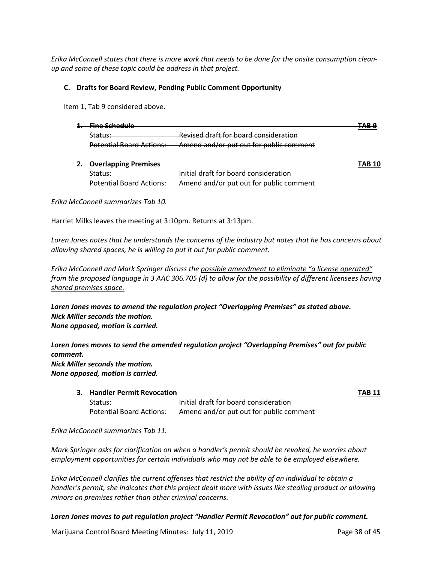*Erika McConnell states that there is more work that needs to be done for the onsite consumption cleanup and some of these topic could be address in that project.*

#### **C. Drafts for Board Review, Pending Public Comment Opportunity**

Item 1, Tab 9 considered above.

| . Fina Schadula         |                                         | TAD O  |
|-------------------------|-----------------------------------------|--------|
| Status:                 | Revised draft for board consideration   |        |
| Dotantial Roard Actions | Amend and/or put out for public comment |        |
| 2. Overlapping Premises |                                         | TAB 10 |
| Status:                 | Initial draft for board consideration   |        |

*Erika McConnell summarizes Tab 10.* 

Harriet Milks leaves the meeting at 3:10pm. Returns at 3:13pm.

*Loren Jones notes that he understands the concerns of the industry but notes that he has concerns about allowing shared spaces, he is willing to put it out for public comment.* 

Potential Board Actions: Amend and/or put out for public comment

*Erika McConnell and Mark Springer discuss the possible amendment to eliminate "a license operated" from the proposed language in 3 AAC 306.705 (d) to allow for the possibility of different licensees having shared premises space.* 

*Loren Jones moves to amend the regulation project "Overlapping Premises" as stated above. Nick Miller seconds the motion. None opposed, motion is carried.*

*Loren Jones moves to send the amended regulation project "Overlapping Premises" out for public comment. Nick Miller seconds the motion. None opposed, motion is carried.*

**3. Handler Permit Revocation TAB 11**

| Status:                  | Initial draft for board consideration   |
|--------------------------|-----------------------------------------|
| Potential Board Actions: | Amend and/or put out for public comment |

*Erika McConnell summarizes Tab 11.*

*Mark Springer asks for clarification on when a handler's permit should be revoked, he worries about employment opportunities for certain individuals who may not be able to be employed elsewhere.*

*Erika McConnell clarifies the current offenses that restrict the ability of an individual to obtain a handler's permit, she indicates that this project dealt more with issues like stealing product or allowing minors on premises rather than other criminal concerns.* 

*Loren Jones moves to put regulation project "Handler Permit Revocation" out for public comment.*

Marijuana Control Board Meeting Minutes: July 11, 2019 **Page 38 of 45** Page 38 of 45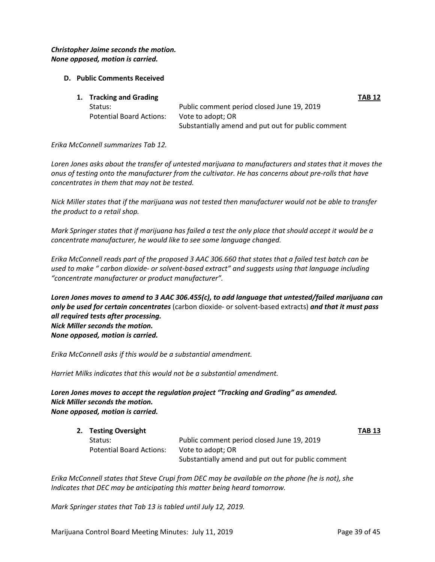## *Christopher Jaime seconds the motion. None opposed, motion is carried.*

## **D. Public Comments Received**

|                                 |                                                    | <b>TAB 12</b> |
|---------------------------------|----------------------------------------------------|---------------|
| Status:                         | Public comment period closed June 19, 2019         |               |
| <b>Potential Board Actions:</b> | Vote to adopt; OR                                  |               |
|                                 | Substantially amend and put out for public comment |               |
|                                 | 1. Tracking and Grading                            |               |

## *Erika McConnell summarizes Tab 12.*

*Loren Jones asks about the transfer of untested marijuana to manufacturers and states that it moves the onus of testing onto the manufacturer from the cultivator. He has concerns about pre-rolls that have concentrates in them that may not be tested.*

*Nick Miller states that if the marijuana was not tested then manufacturer would not be able to transfer the product to a retail shop.*

*Mark Springer states that if marijuana has failed a test the only place that should accept it would be a concentrate manufacturer, he would like to see some language changed.*

*Erika McConnell reads part of the proposed 3 AAC 306.660 that states that a failed test batch can be used to make " carbon dioxide- or solvent-based extract" and suggests using that language including "concentrate manufacturer or product manufacturer".*

*Loren Jones moves to amend to 3 AAC 306.455(c), to add language that untested/failed marijuana can only be used for certain concentrates* (carbon dioxide- or solvent-based extracts) *and that it must pass all required tests after processing. Nick Miller seconds the motion. None opposed, motion is carried.*

*Erika McConnell asks if this would be a substantial amendment.*

*Harriet Milks indicates that this would not be a substantial amendment.*

## *Loren Jones moves to accept the regulation project "Tracking and Grading" as amended. Nick Miller seconds the motion. None opposed, motion is carried.*

| 2. Testing Oversight            |                                                    | <b>TAB 13</b> |
|---------------------------------|----------------------------------------------------|---------------|
| Status:                         | Public comment period closed June 19, 2019         |               |
| <b>Potential Board Actions:</b> | Vote to adopt; OR                                  |               |
|                                 | Substantially amend and put out for public comment |               |

*Erika McConnell states that Steve Crupi from DEC may be available on the phone (he is not), she Indicates that DEC may be anticipating this matter being heard tomorrow.*

*Mark Springer states that Tab 13 is tabled until July 12, 2019.*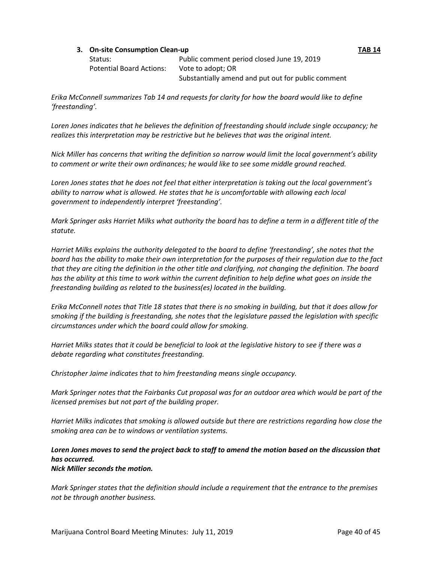## **3. On-site Consumption Clean-up TAB 14**

| Status:                  | Public comment period closed June 19, 2019         |
|--------------------------|----------------------------------------------------|
| Potential Board Actions: | Vote to adopt; OR                                  |
|                          | Substantially amend and put out for public comment |

*Erika McConnell summarizes Tab 14 and requests for clarity for how the board would like to define 'freestanding'.*

*Loren Jones indicates that he believes the definition of freestanding should include single occupancy; he realizes this interpretation may be restrictive but he believes that was the original intent.* 

*Nick Miller has concerns that writing the definition so narrow would limit the local government's ability to comment or write their own ordinances; he would like to see some middle ground reached.*

*Loren Jones states that he does not feel that either interpretation is taking out the local government's ability to narrow what is allowed. He states that he is uncomfortable with allowing each local government to independently interpret 'freestanding'.*

*Mark Springer asks Harriet Milks what authority the board has to define a term in a different title of the statute.*

*Harriet Milks explains the authority delegated to the board to define 'freestanding', she notes that the board has the ability to make their own interpretation for the purposes of their regulation due to the fact that they are citing the definition in the other title and clarifying, not changing the definition. The board has the ability at this time to work within the current definition to help define what goes on inside the freestanding building as related to the business(es) located in the building.* 

*Erika McConnell notes that Title 18 states that there is no smoking in building, but that it does allow for smoking if the building is freestanding, she notes that the legislature passed the legislation with specific circumstances under which the board could allow for smoking.*

*Harriet Milks states that it could be beneficial to look at the legislative history to see if there was a debate regarding what constitutes freestanding.*

*Christopher Jaime indicates that to him freestanding means single occupancy.*

*Mark Springer notes that the Fairbanks Cut proposal was for an outdoor area which would be part of the licensed premises but not part of the building proper.* 

*Harriet Milks indicates that smoking is allowed outside but there are restrictions regarding how close the smoking area can be to windows or ventilation systems.*

*Loren Jones moves to send the project back to staff to amend the motion based on the discussion that has occurred.*

*Nick Miller seconds the motion.*

*Mark Springer states that the definition should include a requirement that the entrance to the premises not be through another business.*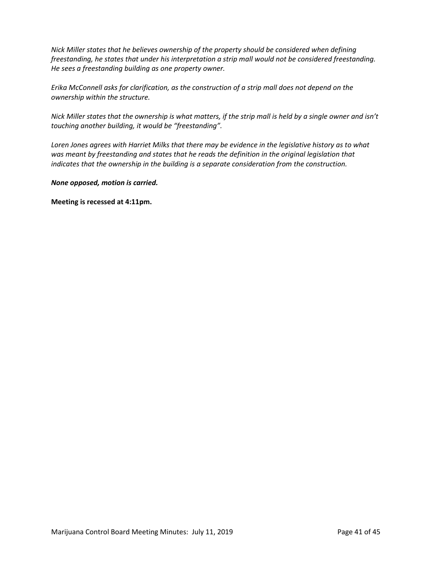*Nick Miller states that he believes ownership of the property should be considered when defining freestanding, he states that under his interpretation a strip mall would not be considered freestanding. He sees a freestanding building as one property owner.*

*Erika McConnell asks for clarification, as the construction of a strip mall does not depend on the ownership within the structure.* 

*Nick Miller states that the ownership is what matters, if the strip mall is held by a single owner and isn't touching another building, it would be "freestanding".*

*Loren Jones agrees with Harriet Milks that there may be evidence in the legislative history as to what was meant by freestanding and states that he reads the definition in the original legislation that indicates that the ownership in the building is a separate consideration from the construction.* 

*None opposed, motion is carried.*

**Meeting is recessed at 4:11pm.**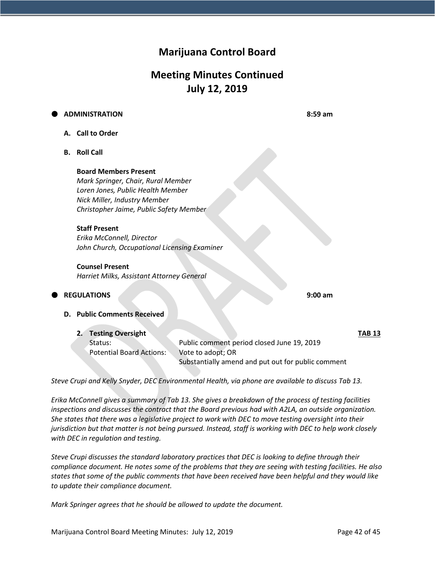# **Marijuana Control Board**

# **Meeting Minutes Continued July 12, 2019**

## **ADMINISTRATION 8:59 am**

- **A. Call to Order**
- **B. Roll Call**

## **Board Members Present**

*Mark Springer, Chair, Rural Member Loren Jones, Public Health Member Nick Miller, Industry Member Christopher Jaime, Public Safety Member*

## **Staff Present**

*Erika McConnell, Director John Church, Occupational Licensing Examiner*

## **Counsel Present**

*Harriet Milks, Assistant Attorney General*

## **REGULATIONS 9:00 am**

**D. Public Comments Received**

| 2. Testing Oversight     |                                                    | <b>TAB 13</b> |
|--------------------------|----------------------------------------------------|---------------|
| Status:                  | Public comment period closed June 19, 2019         |               |
| Potential Board Actions: | Vote to adopt; OR                                  |               |
|                          | Substantially amend and put out for public comment |               |

*Steve Crupi and Kelly Snyder, DEC Environmental Health, via phone are available to discuss Tab 13.*

*Erika McConnell gives a summary of Tab 13. She gives a breakdown of the process of testing facilities inspections and discusses the contract that the Board previous had with A2LA, an outside organization. She states that there was a legislative project to work with DEC to move testing oversight into their jurisdiction but that matter is not being pursued. Instead, staff is working with DEC to help work closely with DEC in regulation and testing.* 

*Steve Crupi discusses the standard laboratory practices that DEC is looking to define through their compliance document. He notes some of the problems that they are seeing with testing facilities. He also states that some of the public comments that have been received have been helpful and they would like to update their compliance document.*

*Mark Springer agrees that he should be allowed to update the document.*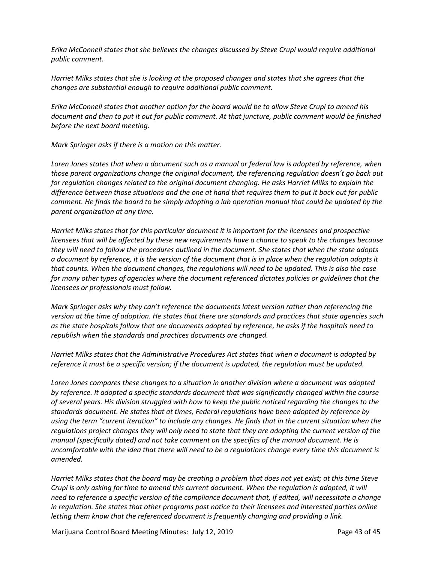*Erika McConnell states that she believes the changes discussed by Steve Crupi would require additional public comment.*

*Harriet Milks states that she is looking at the proposed changes and states that she agrees that the changes are substantial enough to require additional public comment.*

*Erika McConnell states that another option for the board would be to allow Steve Crupi to amend his document and then to put it out for public comment. At that juncture, public comment would be finished before the next board meeting.* 

*Mark Springer asks if there is a motion on this matter.* 

Loren Jones states that when a document such as a manual or federal law is adopted by reference, when *those parent organizations change the original document, the referencing regulation doesn't go back out for regulation changes related to the original document changing. He asks Harriet Milks to explain the difference between those situations and the one at hand that requires them to put it back out for public comment. He finds the board to be simply adopting a lab operation manual that could be updated by the parent organization at any time.* 

*Harriet Milks states that for this particular document it is important for the licensees and prospective licensees that will be affected by these new requirements have a chance to speak to the changes because they will need to follow the procedures outlined in the document. She states that when the state adopts a document by reference, it is the version of the document that is in place when the regulation adopts it that counts. When the document changes, the regulations will need to be updated. This is also the case for many other types of agencies where the document referenced dictates policies or guidelines that the licensees or professionals must follow.* 

*Mark Springer asks why they can't reference the documents latest version rather than referencing the version at the time of adoption. He states that there are standards and practices that state agencies such as the state hospitals follow that are documents adopted by reference, he asks if the hospitals need to republish when the standards and practices documents are changed.* 

*Harriet Milks states that the Administrative Procedures Act states that when a document is adopted by reference it must be a specific version; if the document is updated, the regulation must be updated.* 

*Loren Jones compares these changes to a situation in another division where a document was adopted by reference. It adopted a specific standards document that was significantly changed within the course of several years. His division struggled with how to keep the public noticed regarding the changes to the standards document. He states that at times, Federal regulations have been adopted by reference by using the term "current iteration" to include any changes. He finds that in the current situation when the regulations project changes they will only need to state that they are adopting the current version of the manual (specifically dated) and not take comment on the specifics of the manual document. He is uncomfortable with the idea that there will need to be a regulations change every time this document is amended.* 

*Harriet Milks states that the board may be creating a problem that does not yet exist; at this time Steve Crupi is only asking for time to amend this current document. When the regulation is adopted, it will need to reference a specific version of the compliance document that, if edited, will necessitate a change in regulation. She states that other programs post notice to their licensees and interested parties online letting them know that the referenced document is frequently changing and providing a link.* 

Marijuana Control Board Meeting Minutes: July 12, 2019 **Page 43 of 45** Page 43 of 45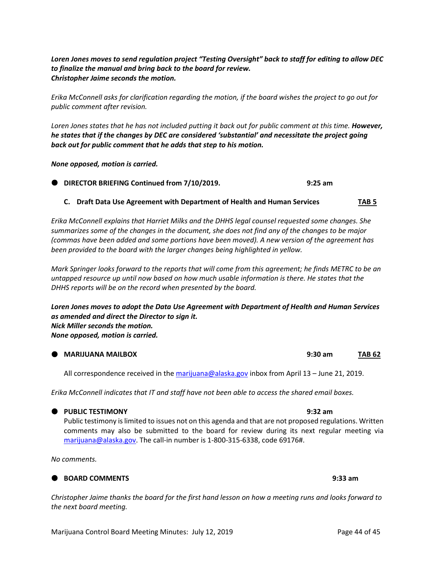*Loren Jones moves to send regulation project "Testing Oversight" back to staff for editing to allow DEC to finalize the manual and bring back to the board for review. Christopher Jaime seconds the motion.*

*Erika McConnell asks for clarification regarding the motion, if the board wishes the project to go out for public comment after revision.* 

Loren Jones states that he has not included putting it back out for public comment at this time. **However,** *he states that if the changes by DEC are considered 'substantial' and necessitate the project going back out for public comment that he adds that step to his motion.* 

*None opposed, motion is carried.*

**DIRECTOR BRIEFING Continued from 7/10/2019. 9:25 am**

#### **C. Draft Data Use Agreement with Department of Health and Human Services TAB 5**

*Erika McConnell explains that Harriet Milks and the DHHS legal counsel requested some changes. She summarizes some of the changes in the document, she does not find any of the changes to be major (commas have been added and some portions have been moved). A new version of the agreement has been provided to the board with the larger changes being highlighted in yellow.* 

*Mark Springer looks forward to the reports that will come from this agreement; he finds METRC to be an untapped resource up until now based on how much usable information is there. He states that the DHHS reports will be on the record when presented by the board.* 

*Loren Jones moves to adopt the Data Use Agreement with Department of Health and Human Services as amended and direct the Director to sign it. Nick Miller seconds the motion. None opposed, motion is carried.*

All correspondence received in th[e marijuana@alaska.gov](mailto:marijuana@alaska.gov) inbox from April 13 - June 21, 2019.

**MARIJUANA MAILBOX 9:30 am TAB 62**

*Erika McConnell indicates that IT and staff have not been able to access the shared email boxes.*

#### **PUBLIC TESTIMONY 9:32 am**

Public testimony is limited to issues not on this agenda and that are not proposed regulations. Written comments may also be submitted to the board for review during its next regular meeting via [marijuana@alaska.gov.](mailto:marijuana@alaska.gov) The call-in number is 1-800-315-6338, code 69176#.

*No comments.*

## **BOARD COMMENTS 9:33 am**

*Christopher Jaime thanks the board for the first hand lesson on how a meeting runs and looks forward to the next board meeting.*